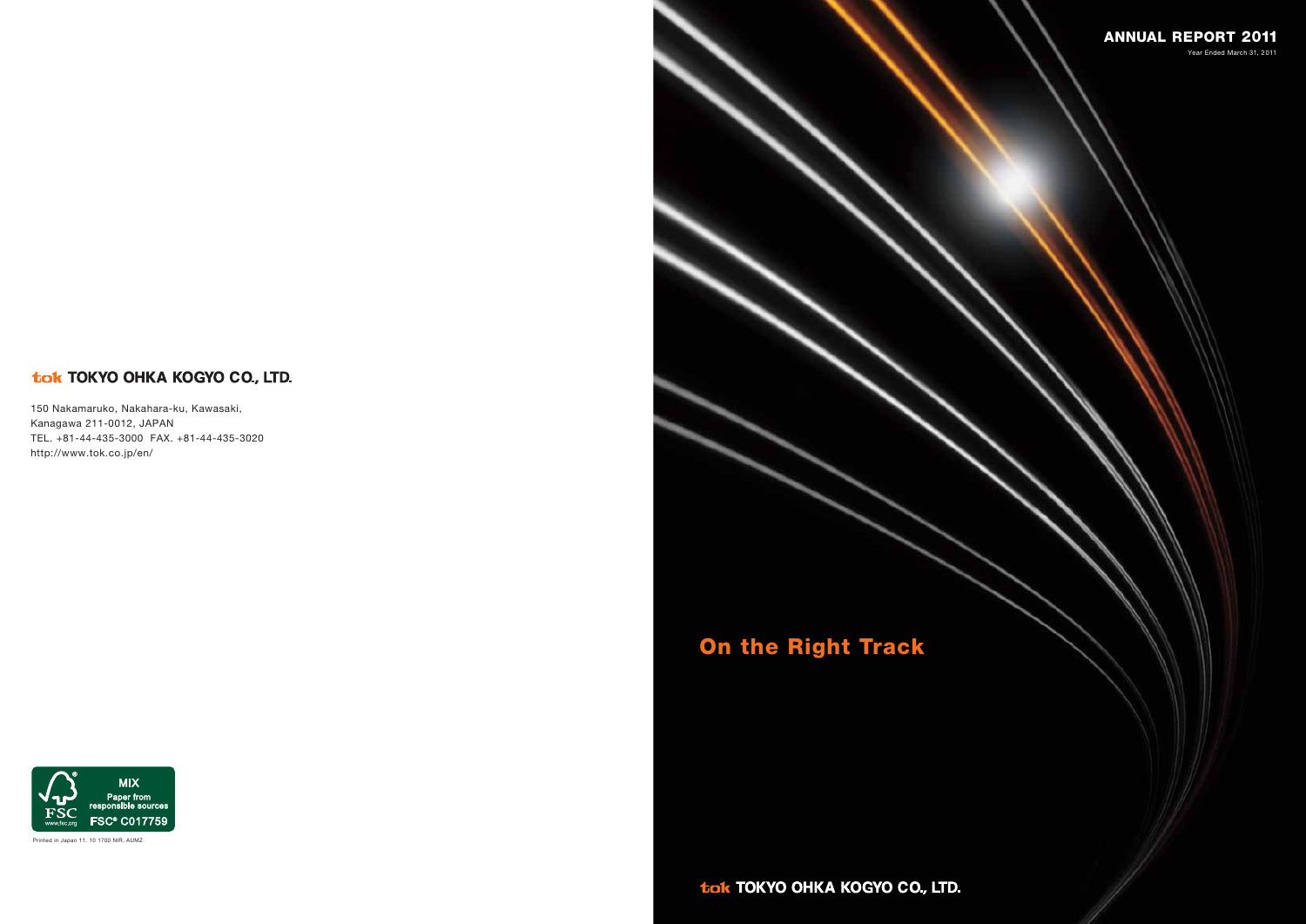# tok TOKYO OHKA KOGYO CO., LTD.

150 Nakamaruko, Nakahara-ku, Kawasaki, Kanagawa 211-0012, JAPAN TEL. +81-44-435-3000 FAX. +81-44-435-3020 http://www.tok.co.jp/en/



Printed in Japan 11. 10 1700 NIR. AUMZ

tok TOKYO OHKA KOGYO CO., LTD.

# **On the Right Track**

**MIX** Paper from<br>responsible sources **FSC FSC® C017759** www.fsc.org



Year Ended March 31, 2011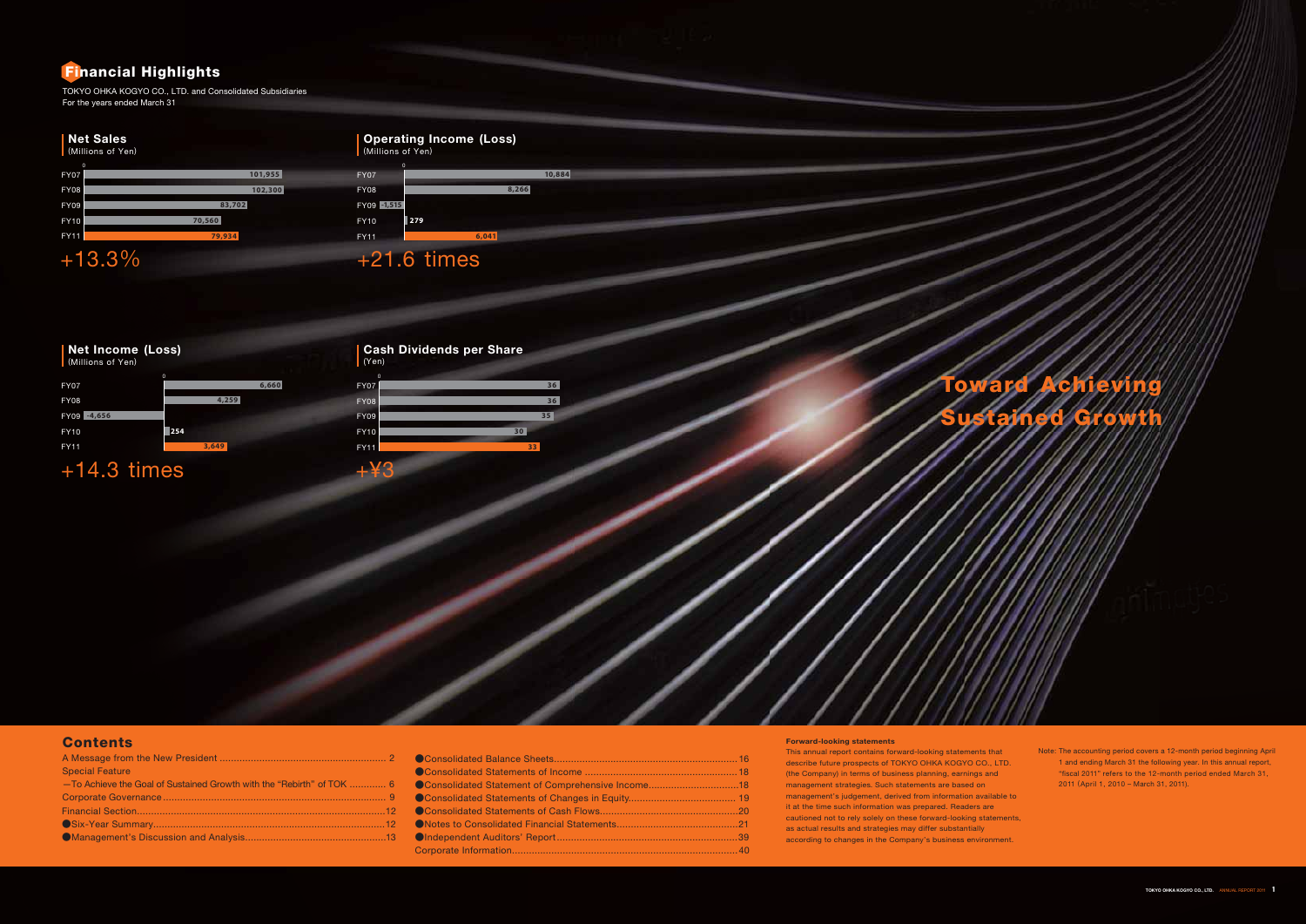# **Contents**

| <b>Special Feature</b>                                                |  |
|-----------------------------------------------------------------------|--|
| -To Achieve the Goal of Sustained Growth with the "Rebirth" of TOK  6 |  |
|                                                                       |  |
|                                                                       |  |
|                                                                       |  |
|                                                                       |  |
|                                                                       |  |

| Consolidated Statement of Comprehensive Income18 |  |
|--------------------------------------------------|--|
|                                                  |  |
|                                                  |  |
|                                                  |  |
|                                                  |  |
|                                                  |  |

Note: The accounting period covers a 12-month period beginning April 1 and ending March 31 the following year. In this annual report, "fiscal 2011" refers to the 12-month period ended March 31, 2011 (April 1, 2010 – March 31, 2011).

This annual report contains forward-looking statements that describe future prospects of TOKYO OHKA KOGYO CO., LTD. (the Company) in terms of business planning, earnings and management strategies. Such statements are based on management's judgement, derived from information available to it at the time such information was prepared. Readers are cautioned not to rely solely on these forward-looking statements, as actual results and strategies may differ substantially according to changes in the Company's business environment.

# **Net Sales**

# **Operating Income (Loss)**

# +14.3 times



| (Millions of Yen)          |         |
|----------------------------|---------|
| $\mathbf 0$<br><b>FY07</b> | 101,955 |
| <b>FY08</b>                | 102,300 |
| <b>FY09</b>                | 83,702  |
|                            | 70,560  |
| <b>FY10</b>                |         |
| <b>FY11</b>                | 79,934  |
| ┺                          |         |

| Net Income (Loss)<br>(Millions of Yen) |                      | <b>Cash Dividends per Share</b><br>(Yen) |    |  |  |  |
|----------------------------------------|----------------------|------------------------------------------|----|--|--|--|
| <b>FY07</b>                            | $\mathbf 0$<br>6,660 | $\mathbf{0}$<br><b>FY07</b>              |    |  |  |  |
| <b>FY08</b>                            | 4,259                | <b>FY08</b>                              |    |  |  |  |
| $-4,656$<br><b>FY09</b>                |                      | <b>FY09</b>                              |    |  |  |  |
| <b>FY10</b>                            | 254                  | <b>FY10</b>                              | 30 |  |  |  |
| <b>FY11</b>                            | 3,649                | <b>FY11</b>                              |    |  |  |  |

| 660 | <b>FY07</b> | 36              |  |
|-----|-------------|-----------------|--|
|     | <b>FY08</b> | 36              |  |
|     | <b>FY09</b> | 35              |  |
|     | FY10        | 30 <sub>2</sub> |  |
|     | FY11        | 33              |  |
|     | $+43$       |                 |  |
|     |             |                 |  |
|     |             |                 |  |
|     |             |                 |  |
|     |             |                 |  |
|     |             |                 |  |
|     |             |                 |  |
|     |             |                 |  |

TOKYO OHKA KOGYO CO., LTD. and Consolidated Subsidiaries For the years ended March 31

# **Forward-looking statements**

# **Financial Highlights**

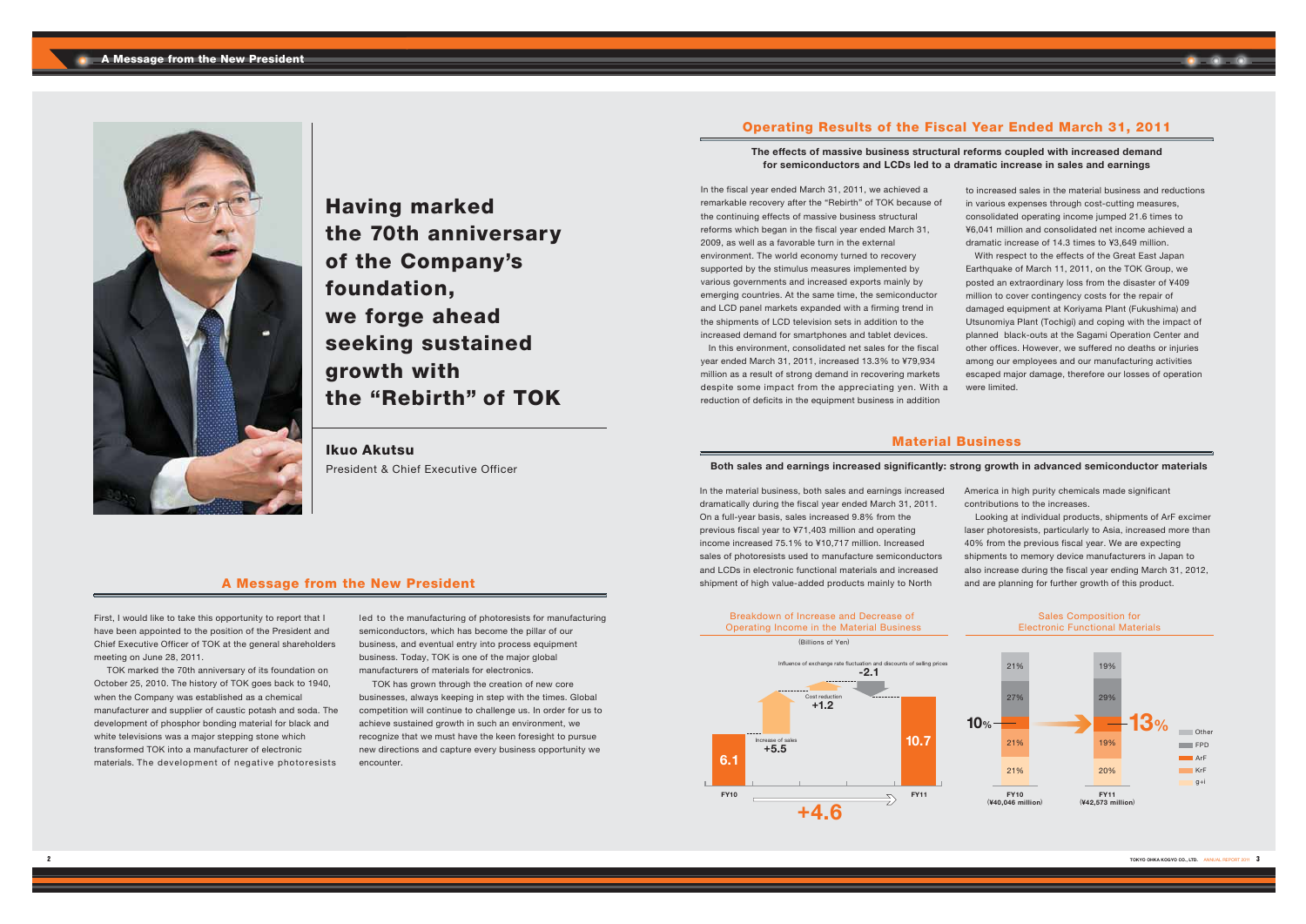

# **Operating Results of the Fiscal Year Ended March 31, 2011**

# **The effects of massive business structural reforms coupled with increased demand for semiconductors and LCDs led to a dramatic increase in sales and earnings**

# **A Message from the New President**

First, I would like to take this opportunity to report that I have been appointed to the position of the President and Chief Executive Officer of TOK at the general shareholders meeting on June 28, 2011.

 TOK marked the 70th anniversary of its foundation on October 25, 2010. The history of TOK goes back to 1940, when the Company was established as a chemical manufacturer and supplier of caustic potash and soda. The development of phosphor bonding material for black and white televisions was a major stepping stone which transformed TOK into a manufacturer of electronic materials. The development of negative photoresists

led to the manufacturing of photoresists for manufacturing semiconductors, which has become the pillar of our business, and eventual entry into process equipment business. Today, TOK is one of the major global manufacturers of materials for electronics.

TOK has grown through the creation of new core businesses, always keeping in step with the times. Global competition will continue to challenge us. In order for us to achieve sustained growth in such an environment, we recognize that we must have the keen foresight to pursue new directions and capture every business opportunity we encounter.

In the fiscal year ended March 31, 2011, we achieved a remarkable recovery after the "Rebirth" of TOK because of the continuing effects of massive business structural reforms which began in the fiscal year ended March 31, 2009, as well as a favorable turn in the external environment. The world economy turned to recovery supported by the stimulus measures implemented by various governments and increased exports mainly by emerging countries. At the same time, the semiconductor and LCD panel markets expanded with a firming trend in the shipments of LCD television sets in addition to the increased demand for smartphones and tablet devices.

 In this environment, consolidated net sales for the fiscal year ended March 31, 2011, increased 13.3% to ¥79,934 million as a result of strong demand in recovering markets despite some impact from the appreciating yen. With a reduction of deficits in the equipment business in addition

to increased sales in the material business and reductions in various expenses through cost-cutting measures, consolidated operating income jumped 21.6 times to ¥6,041 million and consolidated net income achieved a dramatic increase of 14.3 times to ¥3,649 million. With respect to the effects of the Great East Japan Earthquake of March 11, 2011, on the TOK Group, we posted an extraordinary loss from the disaster of ¥409 million to cover contingency costs for the repair of damaged equipment at Koriyama Plant (Fukushima) and Utsunomiya Plant (Tochigi) and coping with the impact of planned black-outs at the Sagami Operation Center and other offices. However, we suffered no deaths or injuries among our employees and our manufacturing activities escaped major damage, therefore our losses of operation were limited.

# **Material Business**

# **Both sales and earnings increased significantly: strong growth in advanced semiconductor materials**

In the material business, both sales and earnings increased dramatically during the fiscal year ended March 31, 2011. On a full-year basis, sales increased 9.8% from the previous fiscal year to ¥71,403 million and operating income increased 75.1% to ¥10,717 million. Increased sales of photoresists used to manufacture semiconductors and LCDs in electronic functional materials and increased shipment of high value-added products mainly to North

- America in high purity chemicals made significant contributions to the increases.
- Looking at individual products, shipments of ArF excimer laser photoresists, particularly to Asia, increased more than 40% from the previous fiscal year. We are expecting shipments to memory device manufacturers in Japan to also increase during the fiscal year ending March 31, 2012, and are planning for further growth of this product.

**Having marked the 70th anniversary of the Company's foundation, we forge ahead seeking sustained growth with the "Rebirth" of TOK**

# **Ikuo Akutsu**

President & Chief Executive Officer

### Breakdown of Increase and Decrease of Operating Income in the Material Business





### Sales Composition for Electronic Functional Materials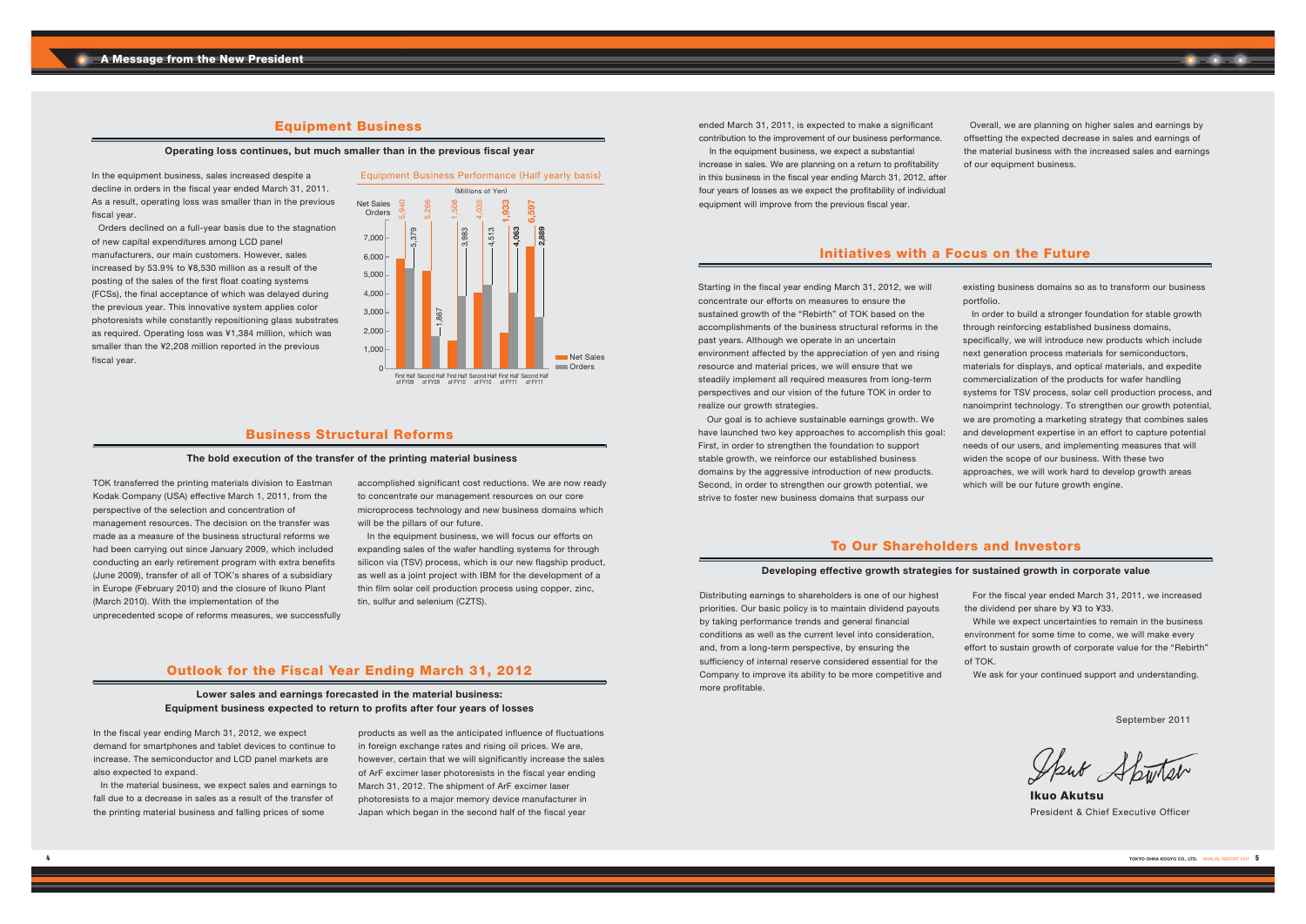# **Outlook for the Fiscal Year Ending March 31, 2012**

**Lower sales and earnings forecasted in the material business: Equipment business expected to return to profits after four years of losses**

In the fiscal year ending March 31, 2012, we expect demand for smartphones and tablet devices to continue to increase. The semiconductor and LCD panel markets are also expected to expand.

 In the material business, we expect sales and earnings to fall due to a decrease in sales as a result of the transfer of the printing material business and falling prices of some

products as well as the anticipated influence of fluctuations in foreign exchange rates and rising oil prices. We are, however, certain that we will significantly increase the sales of ArF excimer laser photoresists in the fiscal year ending March 31, 2012. The shipment of ArF excimer laser photoresists to a major memory device manufacturer in Japan which began in the second half of the fiscal year

ended March 31, 2011, is expected to make a significant contribution to the improvement of our business performance.

In the equipment business, we expect a substantial increase in sales. We are planning on a return to profitability in this business in the fiscal year ending March 31, 2012, after four years of losses as we expect the profitability of individual equipment will improve from the previous fiscal year.

 Overall, we are planning on higher sales and earnings by offsetting the expected decrease in sales and earnings of the material business with the increased sales and earnings of our equipment business.

# **Initiatives with a Focus on the Future**

Starting in the fiscal year ending March 31, 2012, we will concentrate our efforts on measures to ensure the sustained growth of the "Rebirth" of TOK based on the accomplishments of the business structural reforms in the past years. Although we operate in an uncertain environment affected by the appreciation of yen and rising resource and material prices, we will ensure that we steadily implement all required measures from long-term perspectives and our vision of the future TOK in order to realize our growth strategies.

In the equipment business, we will focus our efforts on expanding sales of the wafer handling systems for through silicon via (TSV) process, which is our new flagship product, as well as a joint project with IBM for the development of a thin film solar cell production process using copper, zinc, tin, sulfur and selenium (CZTS).

 Our goal is to achieve sustainable earnings growth. We have launched two key approaches to accomplish this goal: First, in order to strengthen the foundation to support stable growth, we reinforce our established business domains by the aggressive introduction of new products. Second, in order to strengthen our growth potential, we strive to foster new business domains that surpass our

existing business domains so as to transform our business

portfolio. In order to build a stronger foundation for stable growth through reinforcing established business domains, specifically, we will introduce new products which include next generation process materials for semiconductors, materials for displays, and optical materials, and expedite commercialization of the products for wafer handling systems for TSV process, solar cell production process, and nanoimprint technology. To strengthen our growth potential, we are promoting a marketing strategy that combines sales and development expertise in an effort to capture potential needs of our users, and implementing measures that will widen the scope of our business. With these two approaches, we will work hard to develop growth areas

which will be our future growth engine.

# **Business Structural Reforms**

#### **The bold execution of the transfer of the printing material business**

TOK transferred the printing materials division to Eastman Kodak Company (USA) effective March 1, 2011, from the perspective of the selection and concentration of management resources. The decision on the transfer was made as a measure of the business structural reforms we had been carrying out since January 2009, which included conducting an early retirement program with extra benefits (June 2009), transfer of all of TOK's shares of a subsidiary in Europe (February 2010) and the closure of Ikuno Plant (March 2010). With the implementation of the unprecedented scope of reforms measures, we successfully accomplished significant cost reductions. We are now ready to concentrate our management resources on our core microprocess technology and new business domains which will be the pillars of our future.

# **To Our Shareholders and Investors**

# **Developing effective growth strategies for sustained growth in corporate value**

Distributing earnings to shareholders is one of our highest priorities. Our basic policy is to maintain dividend payouts by taking performance trends and general financial conditions as well as the current level into consideration, and, from a long-term perspective, by ensuring the sufficiency of internal reserve considered essential for the Company to improve its ability to be more competitive and more profitable.

 For the fiscal year ended March 31, 2011, we increased the dividend per share by ¥3 to ¥33.

 While we expect uncertainties to remain in the business environment for some time to come, we will make every effort to sustain growth of corporate value for the "Rebirth"

of TOK.



We ask for your continued support and understanding.

# **Equipment Business**

# **Operating loss continues, but much smaller than in the previous fiscal year**

In the equipment business, sales increased despite a decline in orders in the fiscal year ended March 31, 2011. As a result, operating loss was smaller than in the previous fiscal year.

Orders declined on a full-year basis due to the stagnation of new capital expenditures among LCD panel manufacturers, our main customers. However, sales increased by 53.9% to ¥8,530 million as a result of the posting of the sales of the first float coating systems (FCSs), the final acceptance of which was delayed during the previous year. This innovative system applies color photoresists while constantly repositioning glass substrates as required. Operating loss was ¥1,384 million, which was smaller than the ¥2,208 million reported in the previous fiscal year.

**Ikuo Akutsu** President & Chief Executive Officer

September 2011

Sput Sportser

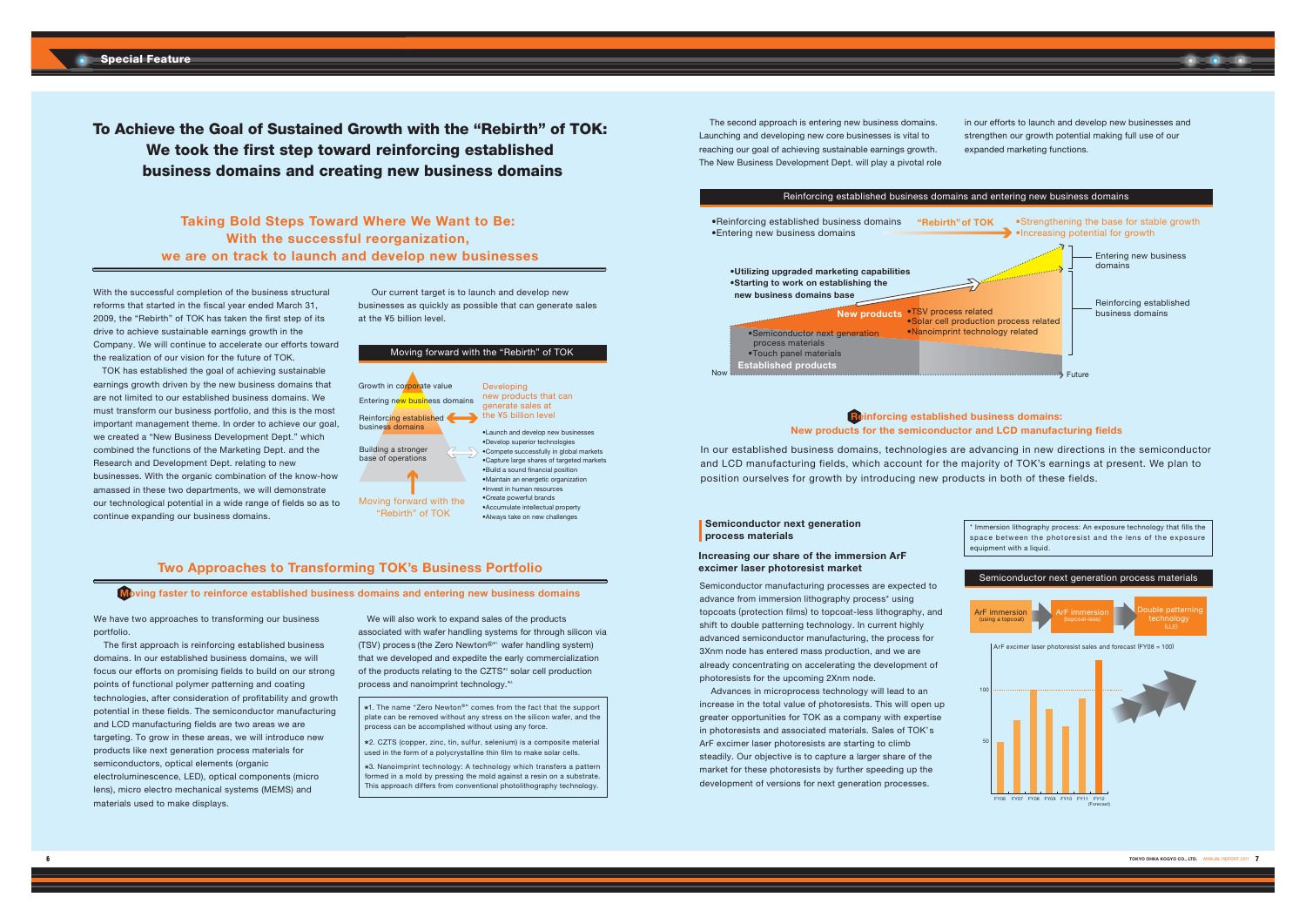|                                                                                                                                                                                                       | Moving forward with the "Rebirth" of TOK                                                                                                                                                                                                                                                                                                                                                                                                                 |
|-------------------------------------------------------------------------------------------------------------------------------------------------------------------------------------------------------|----------------------------------------------------------------------------------------------------------------------------------------------------------------------------------------------------------------------------------------------------------------------------------------------------------------------------------------------------------------------------------------------------------------------------------------------------------|
| Growth in corporate value<br>Entering new business domains<br>Reinforcing established<br>business domains<br>Building a stronger<br>base of operations<br>Moving forward with the<br>"Rebirth" of TOK | Developing<br>new products that can<br>generate sales at<br>the ¥5 billion level<br>.Launch and develop new businesses<br>•Develop superior technologies<br>•Compete successfully in global mark<br>.Capture large shares of targeted mar<br>. Build a sound financial position<br>•Maintain an energetic organization<br>. Invest in human resources<br>•Create powerful brands<br>• Accumulate intellectual property<br>•Always take on new challenges |

markets a<br>Amarkets

With the successful completion of the business structural reforms that started in the fiscal year ended March 31, 2009. the "Rebirth" of TOK has taken the first step of its drive to achieve sustainable earnings growth in the Company. We will continue to accelerate our efforts toward the realization of our vision for the future of TOK.



TOK has established the goal of achieving sustainable earnings growth driven by the new business domains that are not limited to our established business domains. We must transform our business portfolio, and this is the most important management theme. In order to achieve our goal, we created a "New Business Development Dept." which combined the functions of the Marketing Dept. and the Research and Development Dept. relating to new businesses. With the organic combination of the know-how amassed in these two departments, we will demonstrate our technological potential in a wide range of fields so as to continue expanding our business domains.

Our current target is to launch and develop new businesses as quickly as possible that can generate sales at the ¥5 billion level

**Taking Bold Steps Toward Where We Want to Be: With the successful reorganization, we are on track to launch and develop new businesses**

We have two approaches to transforming our business portfolio.

 The first approach is reinforcing established business domains. In our established business domains, we will focus our efforts on promising fields to build on our strong points of functional polymer patterning and coating technologies, after consideration of profitability and growth potential in these fields. The semiconductor manufacturing and LCD manufacturing fields are two areas we are targeting. To grow in these areas, we will introduce new products like next generation process materials for semiconductors, optical elements (organic electroluminescence, LED), optical components (micro lens), micro electro mechanical systems (MEMS) and materials used to make displays.

We will also work to expand sales of the products associated with wafer handling systems for through silicon via (TSV) process (the Zero Newton®\*1 wafer handling system) that we developed and expedite the early commercialization of the products relating to the CZTS<sup>\*</sup> solar cell production process and nanoimprint technology.\*<sup>3</sup>

- \*1. The name "Zero Newton®" comes from the fact that the support plate can be removed without any stress on the silicon wafer, and the process can be accomplished without using any force.
- $*2$ . CZTS (copper, zinc, tin, sulfur, selenium) is a composite material used in the form of a polycrystalline thin film to make solar cells.
- \*3. Nanoimprint technology: A technology which transfers a pattern formed in a mold by pressing the mold against a resin on a substrate. This approach differs from conventional photolithography technology.

The second approach is entering new business domains. Launching and developing new core businesses is vital to reaching our goal of achieving sustainable earnings growth. The New Business Development Dept. will play a pivotal role

# **Two Approaches to Transforming TOK's Business Portfolio**

**Moving faster to reinforce established business domains and entering new business domains**

**Reinforcing established business domains: New products for the semiconductor and LCD manufacturing fields**

In our established business domains, technologies are advancing in new directions in the semiconductor and LCD manufacturing fields, which account for the majority of TOK's earnings at present. We plan to position ourselves for growth by introducing new products in both of these fields.

in our efforts to launch and develop new businesses and strengthen our growth potential making full use of our expanded marketing functions.



**To Achieve the Goal of Sustained Growth with the "Rebirth" of TOK: We took the first step toward reinforcing established business domains and creating new business domains**

# **Semiconductor next generation process materials**

# **Increasing our share of the immersion ArF excimer laser photoresist market**

Semiconductor manufacturing processes are expected to advance from immersion lithography process\* using topcoats (protection films) to topcoat-less lithography, and shift to double patterning technology. In current highly advanced semiconductor manufacturing, the process for 3Xnm node has entered mass production, and we are already concentrating on accelerating the development of photoresists for the upcoming 2Xnm node.

Advances in microprocess technology will lead to an increase in the total value of photoresists. This will open up greater opportunities for TOK as a company with expertise in photoresists and associated materials. Sales of TOK's ArF excimer laser photoresists are starting to climb steadily. Our objective is to capture a larger share of the market for these photoresists by further speeding up the development of versions for next generation processes.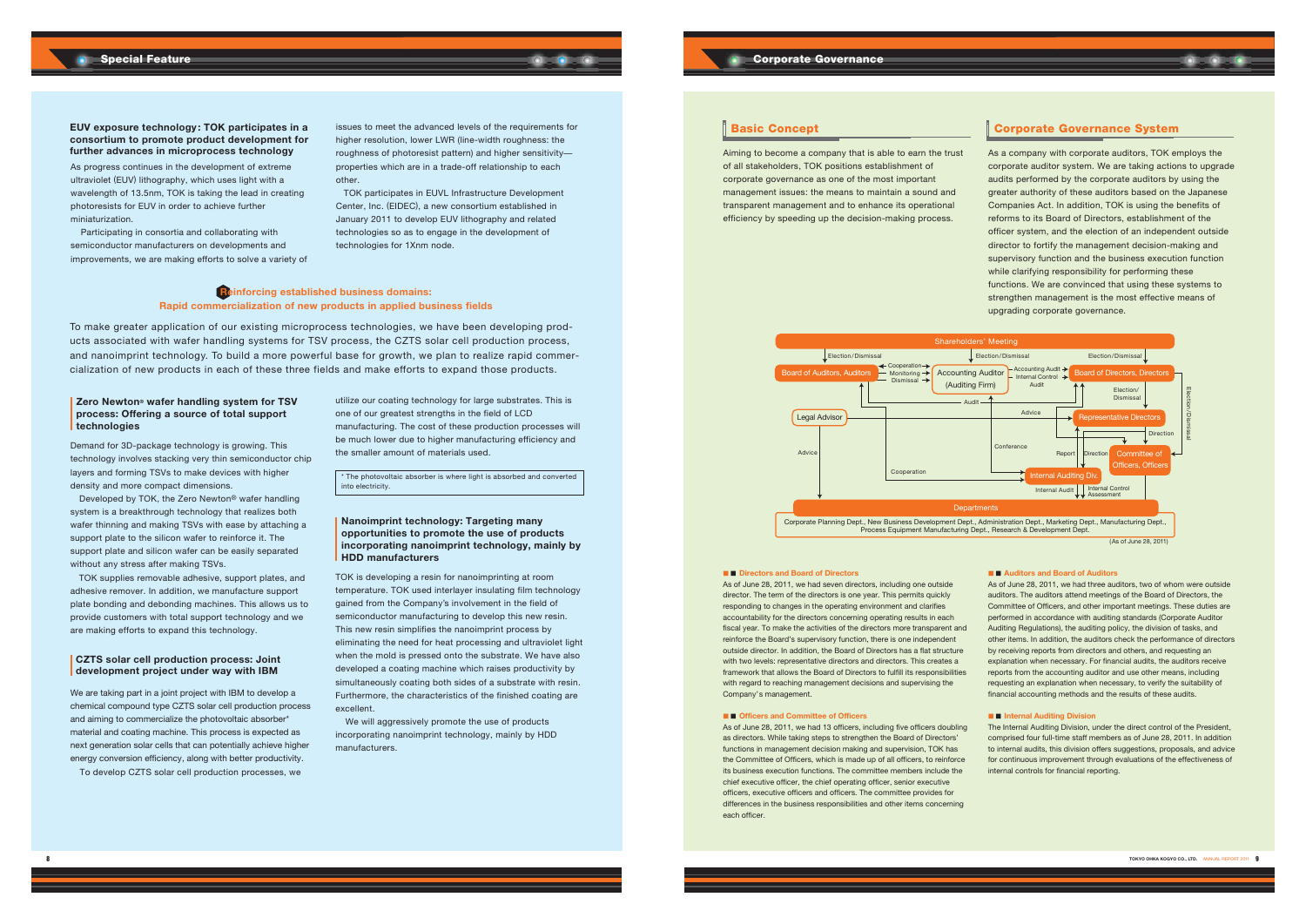

# **CZTS solar cell production process: Joint development project under way with IBM**



# **Corporate Governance**

\* The photovoltaic absorber is where light is absorbed and converted into electricity.

As progress continues in the development of extreme ultraviolet (EUV) lithography, which uses light with a wavelength of 13.5nm, TOK is taking the lead in creating photoresists for EUV in order to achieve further miniaturization.

Participating in consortia and collaborating with semiconductor manufacturers on developments and improvements, we are making efforts to solve a variety of

issues to meet the advanced levels of the requirements for higher resolution, lower LWR (line-width roughness: the roughness of photoresist pattern) and higher sensitivity properties which are in a trade-off relationship to each other.

 TOK participates in EUVL Infrastructure Development Center, Inc. (EIDEC), a new consortium established in January 2011 to develop EUV lithography and related technologies so as to engage in the development of technologies for 1Xnm node.



To make greater application of our existing microprocess technologies, we have been developing products associated with wafer handling systems for TSV process, the CZTS solar cell production process, and nanoimprint technology. To build a more powerful base for growth, we plan to realize rapid commercialization of new products in each of these three fields and make efforts to expand those products.

> We will aggressively promote the use of products incorporating nanoimprint technology, mainly by HDD manufacturers.

Demand for 3D-package technology is growing. This technology involves stacking very thin semiconductor chip layers and forming TSVs to make devices with higher density and more compact dimensions.

 Developed by TOK, the Zero Newton® wafer handling system is a breakthrough technology that realizes both wafer thinning and making TSVs with ease by attaching a support plate to the silicon wafer to reinforce it. The support plate and silicon wafer can be easily separated without any stress after making TSVs.

TOK supplies removable adhesive, support plates, and adhesive remover. In addition, we manufacture support plate bonding and debonding machines. This allows us to provide customers with total support technology and we are making efforts to expand this technology.

We are taking part in a joint project with IBM to develop a chemical compound type CZTS solar cell production process and aiming to commercialize the photovoltaic absorber\* material and coating machine. This process is expected as next generation solar cells that can potentially achieve higher energy conversion efficiency, along with better productivity. To develop CZTS solar cell production processes, we

utilize our coating technology for large substrates. This is one of our greatest strengths in the field of LCD manufacturing. The cost of these production processes will be much lower due to higher manufacturing efficiency and the smaller amount of materials used.

TOK is developing a resin for nanoimprinting at room temperature. TOK used interlayer insulating film technology gained from the Company's involvement in the field of semiconductor manufacturing to develop this new resin. This new resin simplifies the nanoimprint process by eliminating the need for heat processing and ultraviolet light when the mold is pressed onto the substrate. We have also developed a coating machine which raises productivity by simultaneously coating both sides of a substrate with resin. Furthermore, the characteristics of the finished coating are excellent.

# **Basic Concept**

### ■ ■ **Directors and Board of Directors**

As of June 28, 2011, we had seven directors, including one outside director. The term of the directors is one year. This permits quickly responding to changes in the operating environment and clarifies accountability for the directors concerning operating results in each fiscal year. To make the activities of the directors more transparent and reinforce the Board's supervisory function, there is one independent outside director. In addition, the Board of Directors has a flat structure with two levels: representative directors and directors. This creates a framework that allows the Board of Directors to fulfill its responsibilities with regard to reaching management decisions and supervising the Company's management.

#### ■ ■ **Officers and Committee of Officers**

As of June 28, 2011, we had 13 officers, including five officers doubling as directors. While taking steps to strengthen the Board of Directors' functions in management decision making and supervision, TOK has the Committee of Officers, which is made up of all officers, to reinforce its business execution functions. The committee members include the chief executive officer, the chief operating officer, senior executive officers, executive officers and officers. The committee provides for differences in the business responsibilities and other items concerning each officer.

# **Corporate Governance System**

Aiming to become a company that is able to earn the trust of all stakeholders, TOK positions establishment of corporate governance as one of the most important management issues: the means to maintain a sound and transparent management and to enhance its operational efficiency by speeding up the decision-making process.

As a company with corporate auditors, TOK employs the corporate auditor system. We are taking actions to upgrade audits performed by the corporate auditors by using the greater authority of these auditors based on the Japanese Companies Act. In addition, TOK is using the benefits of reforms to its Board of Directors, establishment of the officer system, and the election of an independent outside director to fortify the management decision-making and supervisory function and the business execution function while clarifying responsibility for performing these functions. We are convinced that using these systems to strengthen management is the most effective means of upgrading corporate governance.

## ■ ■ **Auditors and Board of Auditors**

As of June 28, 2011, we had three auditors, two of whom were outside auditors. The auditors attend meetings of the Board of Directors, the Committee of Officers, and other important meetings. These duties are performed in accordance with auditing standards (Corporate Auditor Auditing Regulations), the auditing policy, the division of tasks, and other items. In addition, the auditors check the performance of directors by receiving reports from directors and others, and requesting an explanation when necessary. For financial audits, the auditors receive reports from the accounting auditor and use other means, including requesting an explanation when necessary, to verify the suitability of financial accounting methods and the results of these audits.

#### ■ ■ **Internal Auditing Division**

The Internal Auditing Division, under the direct control of the President, comprised four full-time staff members as of June 28, 2011. In addition to internal audits, this division offers suggestions, proposals, and advice for continuous improvement through evaluations of the effectiveness of internal controls for financial reporting.

# **Zero Newton® wafer handling system for TSV process: Offering a source of total support technologies**

# **Nanoimprint technology: Targeting many opportunities to promote the use of products incorporating nanoimprint technology, mainly by HDD manufacturers**

# **Reinforcing established business domains: Rapid commercialization of new products in applied business fields**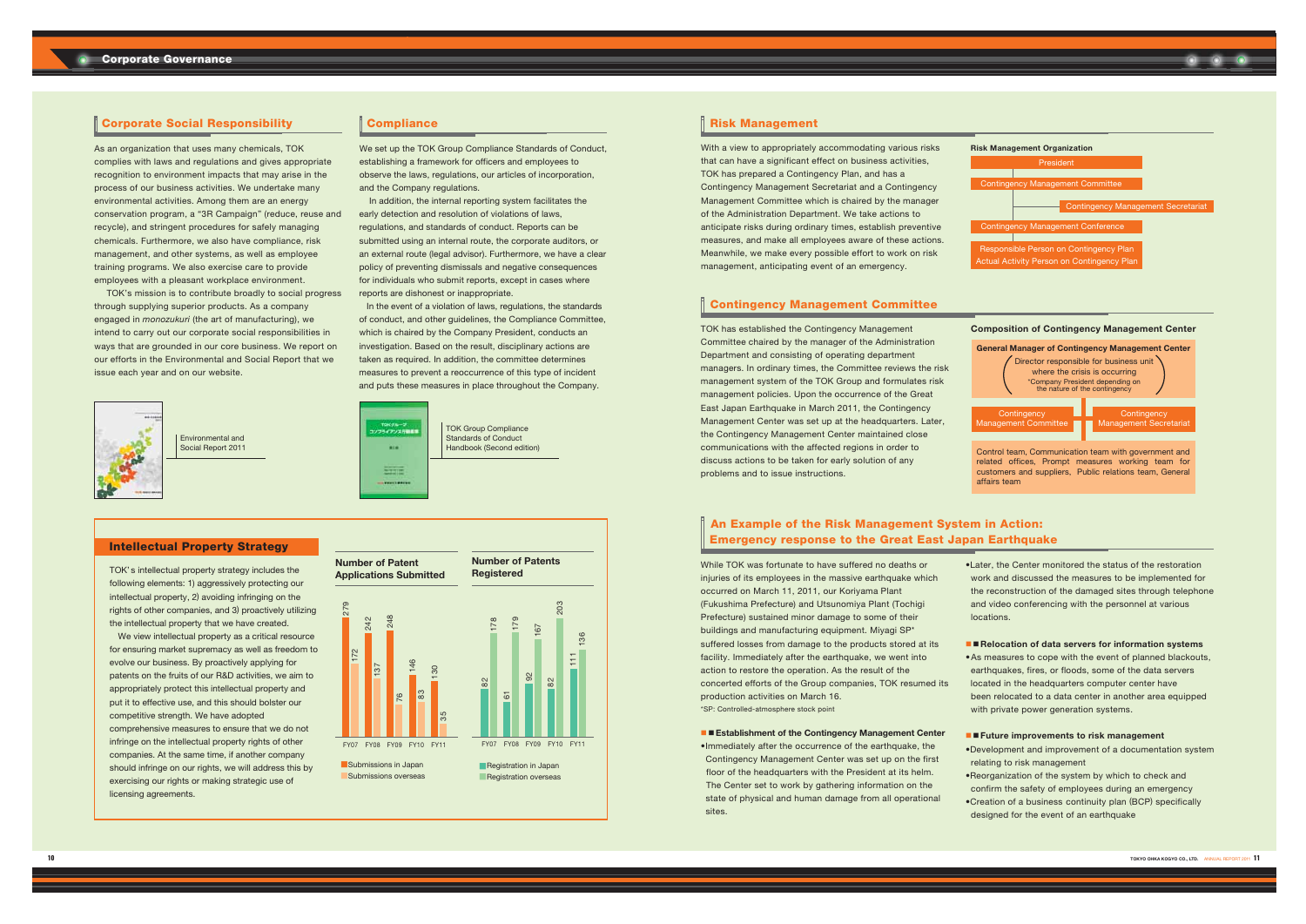■Submissions overseas



# **Corporate Social Responsibility**

As an organization that uses many chemicals, TOK complies with laws and regulations and gives appropriate recognition to environment impacts that may arise in the process of our business activities. We undertake many environmental activities. Among them are an energy conservation program, a "3R Campaign" (reduce, reuse and recycle), and stringent procedures for safely managing chemicals. Furthermore, we also have compliance, risk management, and other systems, as well as employee training programs. We also exercise care to provide employees with a pleasant workplace environment.

We set up the TOK Group Compliance Standards of Conduct, establishing a framework for officers and employees to observe the laws, regulations, our articles of incorporation, and the Company regulations.

 TOK's mission is to contribute broadly to social progress through supplying superior products. As a company engaged in *monozukuri* (the art of manufacturing), we intend to carry out our corporate social responsibilities in ways that are grounded in our core business. We report on our efforts in the Environmental and Social Report that we issue each year and on our website.



TOK' s intellectual property strategy includes the following elements: 1) aggressively protecting our intellectual property, 2) avoiding infringing on the rights of other companies, and 3) proactively utilizing the intellectual property that we have created.

With a view to appropriately accommodating various risks that can have a significant effect on business activities, TOK has prepared a Contingency Plan, and has a Contingency Management Secretariat and a Contingency Management Committee which is chaired by the manager of the Administration Department. We take actions to anticipate risks during ordinary times, establish preventive measures, and make all employees aware of these actions. Meanwhile, we make every possible effort to work on risk management, anticipating event of an emergency.

 We view intellectual property as a critical resource for ensuring market supremacy as well as freedom to evolve our business. By proactively applying for patents on the fruits of our R&D activities, we aim to appropriately protect this intellectual property and put it to effective use, and this should bolster our competitive strength. We have adopted comprehensive measures to ensure that we do not infringe on the intellectual property rights of other companies. At the same time, if another company should infringe on our rights, we will address this by exercising our rights or making strategic use of licensing agreements.

# $\begin{array}{|c|c|c|}\n 278 & 279 \\
 \hline\n 1172 & 242 \\
 242 & 137 \\
 \hline\n 137 & 248 \\
 \hline\n 130 & 248 \\
 \hline\n 130 & 130 \\
 \hline\n 130 & 130 \\
 \hline\n 130 & 85 \\
 \hline\n 130 & 87 \\
 \hline\n 130 & 87 \\
 \hline\n 130 & 87 \\
 \hline\n 130 & 87 \\
 \hline\n 130 & 87 \\
 \hline\n 130 & 87 \\
 \hline\n 130 & 87 \\
 \hline\n 130 & 8$ 82<br>
178<br>
179<br>
FY07 FY08 FY09 FY10 FY10 FY10 FY11<br>
111 136<br>
1796<br>
1796 **Number of Patent Applications Submitted Number of Patents Registered** ■Submissions in Japan

# **Compliance**

In addition, the internal reporting system facilitates the early detection and resolution of violations of laws, regulations, and standards of conduct. Reports can be submitted using an internal route, the corporate auditors, or an external route (legal advisor). Furthermore, we have a clear policy of preventing dismissals and negative consequences for individuals who submit reports, except in cases where reports are dishonest or inappropriate.

> •Immediately after the occurrence of the earthquake, the Contingency Management Center was set up on the first floor of the headquarters with the President at its helm. The Center set to work by gathering information on the state of physical and human damage from all operational sites.



 $\bullet$  ater the Center monitored the status of the restoration work and discussed the measures to be implemented for the reconstruction of the damaged sites through telephone and video conferencing with the personnel at various locations.

# ■ **Relocation of data servers for information systems**

• As measures to cope with the event of planned blackouts, earthquakes, fires, or floods, some of the data servers located in the headquarters computer center have been relocated to a data center in another area equipped with private power generation systems.

 In the event of a violation of laws, regulations, the standards of conduct, and other guidelines, the Compliance Committee, which is chaired by the Company President, conducts an investigation. Based on the result, disciplinary actions are taken as required. In addition, the committee determines measures to prevent a reoccurrence of this type of incident and puts these measures in place throughout the Company.

- Development and improvement of a documentation system relating to risk management
- Reorganization of the system by which to check and
- confirm the safety of employees during an emergency
- Creation of a business continuity plan (BCP) specifically
- designed for the event of an earthquake

# **Risk Management**



# **Contingency Management Committee**

# **An Example of the Risk Management System in Action: Emergency response to the Great East Japan Earthquake**

Environmental and Social Report 2011



# **Intellectual Property Strategy**

TOK has established the Contingency Management Committee chaired by the manager of the Administration Department and consisting of operating department managers. In ordinary times, the Committee reviews the risk management system of the TOK Group and formulates risk management policies. Upon the occurrence of the Great East Japan Earthquake in March 2011, the Contingency Management Center was set up at the headquarters. Later, the Contingency Management Center maintained close communications with the affected regions in order to discuss actions to be taken for early solution of any problems and to issue instructions.

While TOK was fortunate to have suffered no deaths or injuries of its employees in the massive earthquake which occurred on March 11, 2011, our Koriyama Plant (Fukushima Prefecture) and Utsunomiya Plant (Tochigi Prefecture) sustained minor damage to some of their buildings and manufacturing equipment. Miyagi SP\* suffered losses from damage to the products stored at its facility. Immediately after the earthquake, we went into action to restore the operation. As the result of the concerted efforts of the Group companies, TOK resumed its production activities on March 16. \*SP: Controlled-atmosphere stock point

# ■ **■ Establishment of the Contingency Management Center**

# ■ ■ **Future improvements to risk management**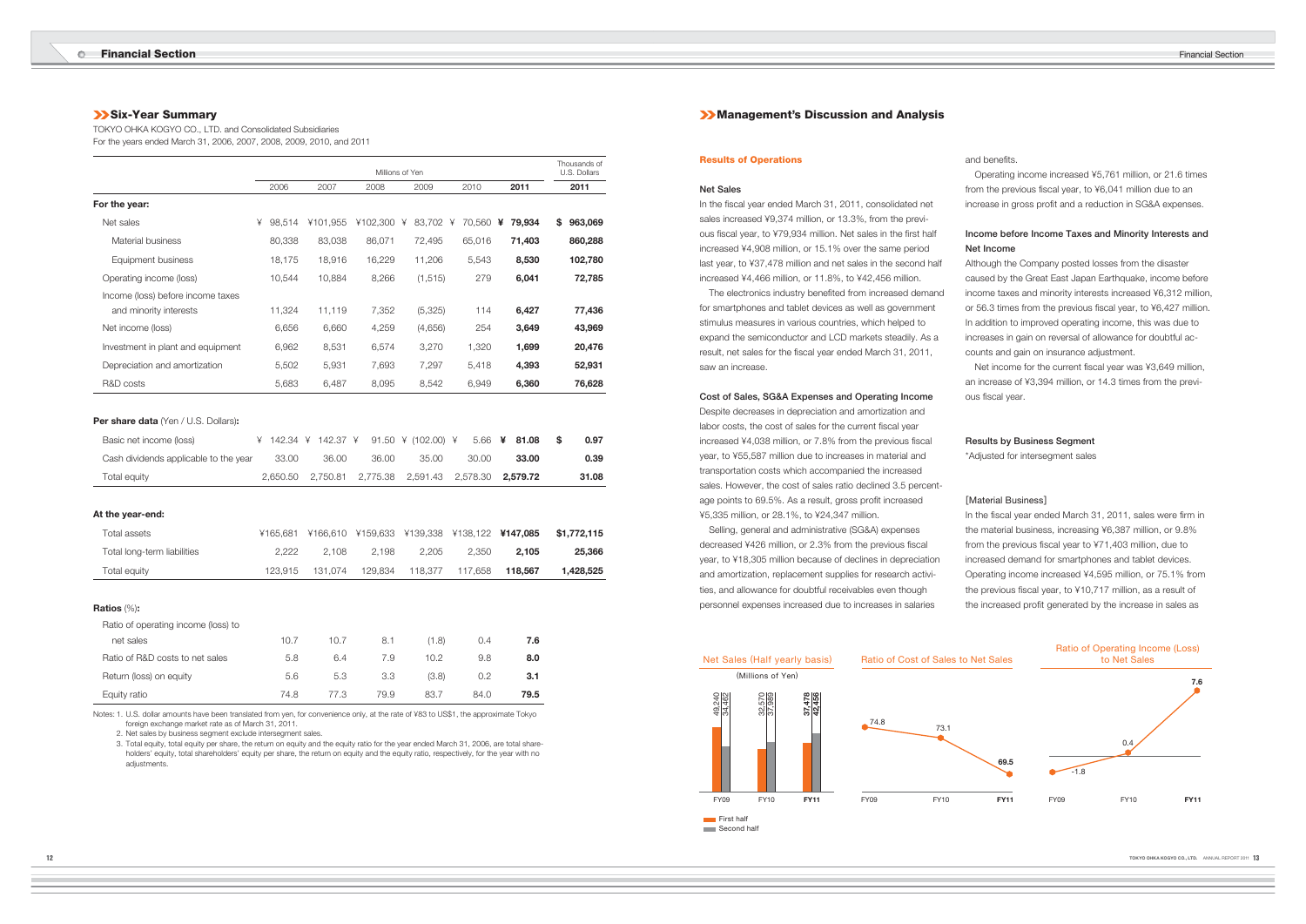and benefits.

# **Six-Year Summary**

TOKYO OHKA KOGYO CO., LTD. and Consolidated Subsidiaries For the years ended March 31, 2006, 2007, 2008, 2009, 2010, and 2011

|                                             |   |        |          |          |          | Millions of Yen |   |                            |   |        |   |        |    | Thousands of<br>U.S. Dollars |
|---------------------------------------------|---|--------|----------|----------|----------|-----------------|---|----------------------------|---|--------|---|--------|----|------------------------------|
|                                             |   | 2006   | 2007     |          | 2008     |                 |   | 2009                       |   | 2010   |   | 2011   |    | 2011                         |
| For the year:                               |   |        |          |          |          |                 |   |                            |   |        |   |        |    |                              |
| Net sales                                   | ¥ | 98,514 | ¥101,955 |          | ¥102,300 |                 | ¥ | 83,702                     | ¥ | 70,560 | ¥ | 79,934 | S  | 963,069                      |
| Material business                           |   | 80,338 |          | 83,038   | 86,071   |                 |   | 72,495                     |   | 65,016 |   | 71,403 |    | 860,288                      |
| Equipment business                          |   | 18,175 |          | 18,916   | 16,229   |                 |   | 11,206                     |   | 5,543  |   | 8,530  |    | 102,780                      |
| Operating income (loss)                     |   | 10,544 |          | 10,884   |          | 8,266           |   | (1, 515)                   |   | 279    |   | 6,041  |    | 72,785                       |
| Income (loss) before income taxes           |   |        |          |          |          |                 |   |                            |   |        |   |        |    |                              |
| and minority interests                      |   | 11,324 |          | 11,119   |          | 7,352           |   | (5,325)                    |   | 114    |   | 6,427  |    | 77,436                       |
| Net income (loss)                           |   | 6,656  |          | 6,660    |          | 4,259           |   | (4,656)                    |   | 254    |   | 3,649  |    | 43,969                       |
| Investment in plant and equipment           |   | 6,962  |          | 8,531    |          | 6,574           |   | 3,270                      |   | 1,320  |   | 1,699  |    | 20,476                       |
| Depreciation and amortization               |   | 5,502  |          | 5,931    |          | 7,693           |   | 7,297                      |   | 5,418  |   | 4,393  |    | 52,931                       |
| R&D costs                                   |   | 5,683  |          | 6,487    |          | 8,095           |   | 8,542                      |   | 6,949  |   | 6,360  |    | 76,628                       |
| <b>Per share data</b> (Yen / U.S. Dollars): |   |        |          |          |          |                 |   |                            |   |        |   |        |    |                              |
| Basic net income (loss)                     | ¥ | 142.34 | ¥        | 142.37 ¥ |          | 91.50           |   | $\angle$ (102.00) $\angle$ |   | 5.66   | ¥ | 81.08  | \$ | 0.97                         |

| .                                     |       |       |                                                            |       |       |       |       |
|---------------------------------------|-------|-------|------------------------------------------------------------|-------|-------|-------|-------|
| Cash dividends applicable to the year | 33.00 | 36.00 | 36.00                                                      | 35.00 | 30.00 | 33.00 | 0.39  |
| Total equity                          |       |       | 2,650.50  2,750.81  2,775.38  2,591.43  2,578.30  2,579.72 |       |       |       | 31.08 |

# **At the year-end:**

In the fiscal year ended March 31, 2011, consolidated net sales increased ¥9,374 million, or 13.3%, from the previous fiscal year, to ¥79,934 million. Net sales in the first half increased ¥4,908 million, or 15.1% over the same period last year, to ¥37,478 million and net sales in the second half increased ¥4,466 million, or 11.8%, to ¥42,456 million.

| Total assets                |         | ¥165,681 ¥166,610 ¥159,633 ¥139,338 ¥138,122 <b>¥147,085</b> |         |         |         |         | \$1.772.115 |
|-----------------------------|---------|--------------------------------------------------------------|---------|---------|---------|---------|-------------|
| Total long-term liabilities | 2.222   | 2.108                                                        | 2.198   | 2.205   | 2.350   | 2.105   | 25,366      |
| Total equity                | 123.915 | 131.074                                                      | 129.834 | 118.377 | 117.658 | 118.567 | 1.428.525   |

# **Ratios** (%)**:**

The electronics industry benefited from increased demand for smartphones and tablet devices as well as government stimulus measures in various countries, which helped to expand the semiconductor and LCD markets steadily. As a result, net sales for the fiscal year ended March 31, 2011, saw an increase.

Ratio of operating income (loss) to

| net sales                       | 10.7 | 10.7 | 8.1  | (1.8) | 0.4  | 7.6  |
|---------------------------------|------|------|------|-------|------|------|
| Ratio of R&D costs to net sales | 5.8  | 6.4  | 7.9  | 10.2  | 9.8  | 8.0  |
| Return (loss) on equity         | 5.6  | 5.3  | 3.3  | (3.8) | 0.2  | 3.1  |
| Equity ratio                    | 74.8 | 77.3 | 79.9 | 83.7  | 84.0 | 79.5 |

Notes: 1. U.S. dollar amounts have been translated from yen, for convenience only, at the rate of ¥83 to US\$1, the approximate Tokyo foreign exchange market rate as of March 31, 2011.

 Operating income increased ¥5,761 million, or 21.6 times from the previous fiscal year, to ¥6,041 million due to an increase in gross profit and a reduction in SG&A expenses.

2. Net sales by business segment exclude intersegment sales.

 3. Total equity, total equity per share, the return on equity and the equity ratio for the year ended March 31, 2006, are total shareholders' equity, total shareholders' equity per share, the return on equity and the equity ratio, respectively, for the year with no adjustments.

# **Management's Discussion and Analysis**

# **Results of Operations**

### **Net Sales**

### **Cost of Sales, SG&A Expenses and Operating Income**

Despite decreases in depreciation and amortization and labor costs, the cost of sales for the current fiscal year increased ¥4,038 million, or 7.8% from the previous fiscal year, to ¥55,587 million due to increases in material and transportation costs which accompanied the increased sales. However, the cost of sales ratio declined 3.5 percentage points to 69.5%. As a result, gross profit increased ¥5,335 million, or 28.1%, to ¥24,347 million.

 Selling, general and administrative (SG&A) expenses decreased ¥426 million, or 2.3% from the previous fiscal year, to ¥18,305 million because of declines in depreciation and amortization, replacement supplies for research activities, and allowance for doubtful receivables even though personnel expenses increased due to increases in salaries

In the fiscal year ended March 31, 2011, sales were firm in the material business, increasing ¥6,387 million, or 9.8% from the previous fiscal year to ¥71,403 million, due to increased demand for smartphones and tablet devices. Operating income increased ¥4,595 million, or 75.1% from the previous fiscal year, to ¥10,717 million, as a result of the increased profit generated by the increase in sales as

# **Income before Income Taxes and Minority Interests and Net Income**

Although the Company posted losses from the disaster caused by the Great East Japan Earthquake, income before income taxes and minority interests increased ¥6,312 million, or 56.3 times from the previous fiscal year, to ¥6,427 million. In addition to improved operating income, this was due to increases in gain on reversal of allowance for doubtful accounts and gain on insurance adjustment.

Net income for the current fiscal year was ¥3,649 million, an increase of ¥3,394 million, or 14.3 times from the previous fiscal year.

# **Results by Business Segment**

\*Adjusted for intersegment sales

# [Material Business]



Second half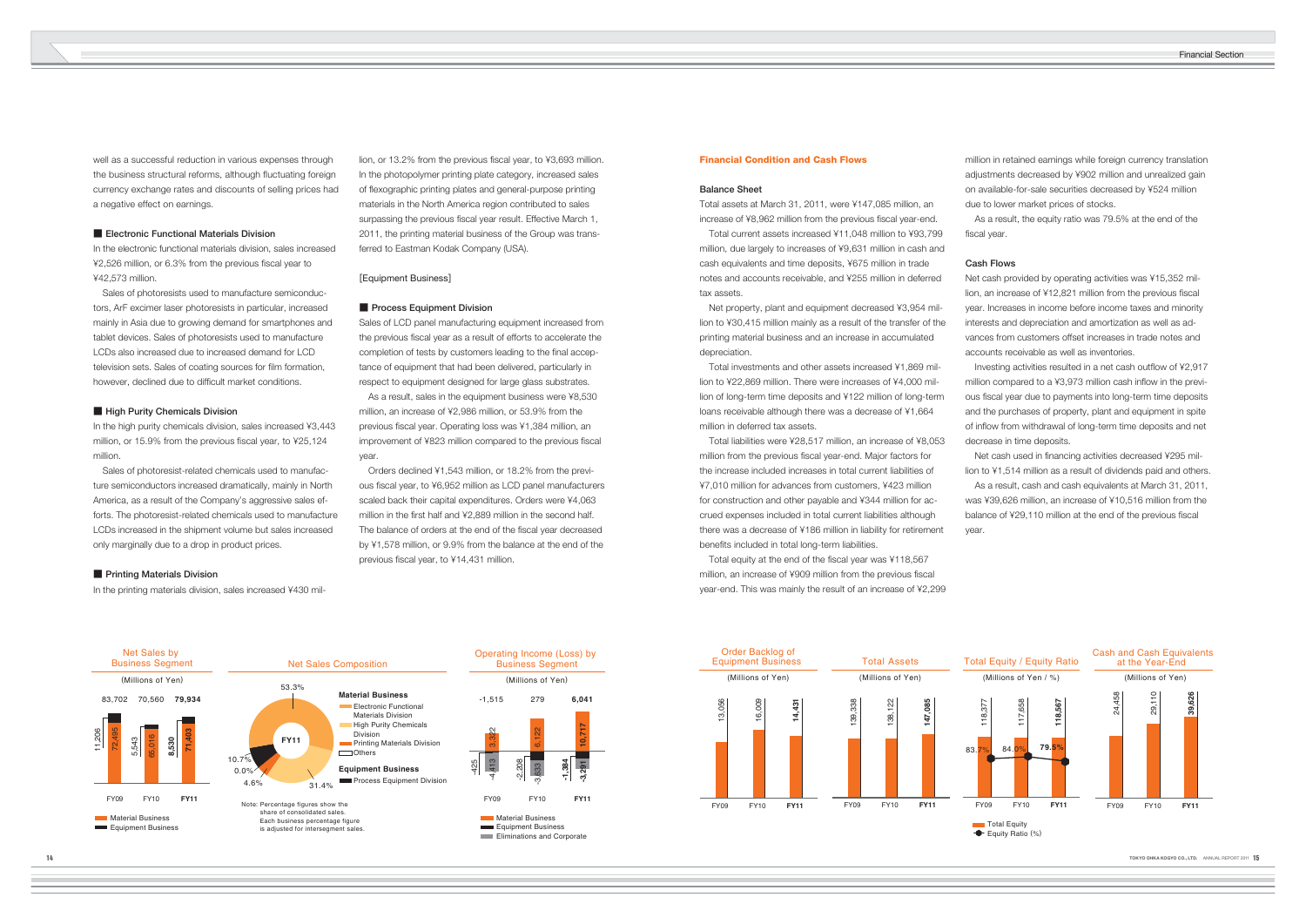well as a successful reduction in various expenses through the business structural reforms, although fluctuating foreign currency exchange rates and discounts of selling prices had a negative effect on earnings.

# ■ **Electronic Functional Materials Division**

 Sales of photoresists used to manufacture semiconductors, ArF excimer laser photoresists in particular, increased mainly in Asia due to growing demand for smartphones and tablet devices. Sales of photoresists used to manufacture LCDs also increased due to increased demand for LCD television sets. Sales of coating sources for film formation, however, declined due to difficult market conditions.

# **E** High Purity Chemicals Division

In the electronic functional materials division, sales increased ¥2,526 million, or 6.3% from the previous fiscal year to ¥42,573 million.

In the high purity chemicals division, sales increased ¥3,443 million, or 15.9% from the previous fiscal year, to ¥25,124 million.

lion, or 13.2% from the previous fiscal year, to ¥3,693 million. In the photopolymer printing plate category, increased sales of flexographic printing plates and general-purpose printing materials in the North America region contributed to sales surpassing the previous fiscal year result. Effective March 1, 2011, the printing material business of the Group was transferred to Eastman Kodak Company (USA).

 Sales of photoresist-related chemicals used to manufacture semiconductors increased dramatically, mainly in North America, as a result of the Company's aggressive sales efforts. The photoresist-related chemicals used to manufacture LCDs increased in the shipment volume but sales increased only marginally due to a drop in product prices.

# **E** Printing Materials Division

 Orders declined ¥1,543 million, or 18.2% from the previous fiscal year, to ¥6,952 million as LCD panel manufacturers scaled back their capital expenditures. Orders were ¥4,063 million in the first half and ¥2,889 million in the second half. The balance of orders at the end of the fiscal year decreased by ¥1,578 million, or 9.9% from the balance at the end of the previous fiscal year, to ¥14,431 million.

In the printing materials division, sales increased ¥430 mil-

Total assets at March 31, 2011, were ¥147,085 million, an increase of ¥8,962 million from the previous fiscal year-end.

 Total liabilities were ¥28,517 million, an increase of ¥8,053 million from the previous fiscal year-end. Major factors for the increase included increases in total current liabilities of ¥7,010 million for advances from customers, ¥423 million for construction and other payable and ¥344 million for accrued expenses included in total current liabilities although there was a decrease of ¥186 million in liability for retirement benefits included in total long-term liabilities.

# [Equipment Business]

### ■ **Process Equipment Division**

Sales of LCD panel manufacturing equipment increased from the previous fiscal year as a result of efforts to accelerate the completion of tests by customers leading to the final acceptance of equipment that had been delivered, particularly in respect to equipment designed for large glass substrates.

> Total equity at the end of the fiscal year was ¥118,567 million, an increase of ¥909 million from the previous fiscal year-end. This was mainly the result of an increase of ¥2,299

 As a result, the equity ratio was 79.5% at the end of the fiscal year.

 As a result, sales in the equipment business were ¥8,530 million, an increase of ¥2,986 million, or 53.9% from the previous fiscal year. Operating loss was ¥1,384 million, an improvement of ¥823 million compared to the previous fiscal year.

Investing activities resulted in a net cash outflow of ¥2,917 million compared to a ¥3,973 million cash inflow in the previous fiscal year due to payments into long-term time deposits and the purchases of property, plant and equipment in spite of inflow from withdrawal of long-term time deposits and net decrease in time deposits.

Net cash used in financing activities decreased ¥295 million to ¥1,514 million as a result of dividends paid and others. As a result, cash and cash equivalents at March 31, 2011, was ¥39,626 million, an increase of ¥10,516 million from the balance of ¥29,110 million at the end of the previous fiscal

# **Financial Condition and Cash Flows**

# **Balance Sheet**

 Total current assets increased ¥11,048 million to ¥93,799 million, due largely to increases of ¥9,631 million in cash and cash equivalents and time deposits, ¥675 million in trade notes and accounts receivable, and ¥255 million in deferred tax assets.

 Net property, plant and equipment decreased ¥3,954 million to ¥30,415 million mainly as a result of the transfer of the printing material business and an increase in accumulated depreciation.

 Total investments and other assets increased ¥1,869 million to ¥22,869 million. There were increases of ¥4,000 million of long-term time deposits and ¥122 million of long-term loans receivable although there was a decrease of ¥1,664 million in deferred tax assets.

million in retained earnings while foreign currency translation adjustments decreased by ¥902 million and unrealized gain on available-for-sale securities decreased by ¥524 million due to lower market prices of stocks.

### **Cash Flows**

Net cash provided by operating activities was ¥15,352 million, an increase of ¥12,821 million from the previous fiscal year. Increases in income before income taxes and minority interests and depreciation and amortization as well as advances from customers offset increases in trade notes and accounts receivable as well as inventories.

year.





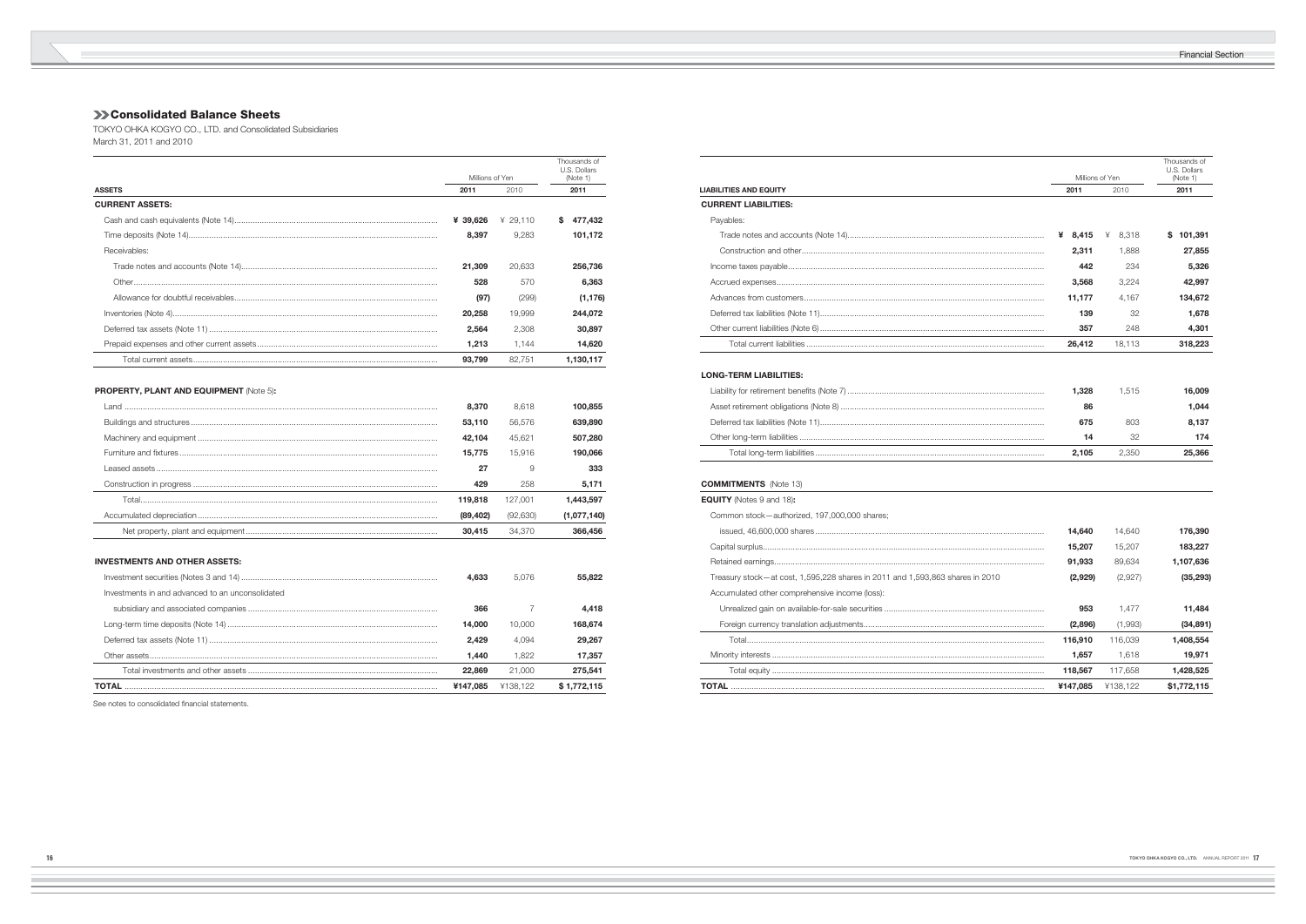# **Consolidated Balance Sheets**

**Contract** 

TOKYO OHKA KOGYO CO., LTD. and Consolidated Subsidiaries March 31, 2011 and 2010

|                                                |                 |          |    | Thousands of<br>U.S. Dollars |
|------------------------------------------------|-----------------|----------|----|------------------------------|
|                                                | Millions of Yen |          |    | (Note 1)                     |
| <b>ASSETS</b>                                  |                 | 2010     |    | 2011                         |
| <b>CURRENT ASSETS:</b>                         |                 |          |    |                              |
|                                                | ¥ 39,626        | ¥ 29,110 | s. | 477,432                      |
|                                                | 8,397           | 9.283    |    | 101,172                      |
| Receivables:                                   |                 |          |    |                              |
|                                                | 21,309          | 20,633   |    | 256,736                      |
|                                                | 528             | 570      |    | 6,363                        |
|                                                | (97)            | (299)    |    | (1, 176)                     |
|                                                | 20,258          | 19.999   |    | 244,072                      |
|                                                | 2,564           | 2.308    |    | 30,897                       |
|                                                | 1,213           | 1,144    |    | 14,620                       |
|                                                | 93,799          | 82,751   |    | 1,130,117                    |
|                                                |                 |          |    |                              |
| <b>PROPERTY, PLANT AND EQUIPMENT (Note 5):</b> |                 |          |    |                              |
|                                                |                 |          |    |                              |

| 8.370    | 8.618     | 100.855     |
|----------|-----------|-------------|
| 53,110   | 56.576    | 639,890     |
| 42.104   | 45.621    | 507,280     |
| 15.775   | 15.916    | 190,066     |
| 27       | 9         | 333         |
| 429      | 258       | 5,171       |
| 119,818  | 127.001   | .443.597    |
| (89,402) | (92, 630) | (1,077,140) |
| 30.415   | 34.370    | 366,456     |

# **INVESTMENTS AND OTHER ASSETS:**

|                                                  | ¥147.085 | ¥138.122 | \$1.772.115 |
|--------------------------------------------------|----------|----------|-------------|
|                                                  | 22,869   | 21.000   | 275,541     |
|                                                  | 1.440    | 1.822    | 17,357      |
|                                                  | 2.429    | 4.094    | 29,267      |
|                                                  | 14.000   | 10.000   | 168,674     |
|                                                  | 366      |          | 4,418       |
| Investments in and advanced to an unconsolidated |          |          |             |
|                                                  | 4.633    | 5.076    | 55.822      |
|                                                  |          |          |             |

See notes to consolidated financial statements.

|     | Millions of Yen | Thousands of<br>U.S. Dollars<br>(Note 1) |               |
|-----|-----------------|------------------------------------------|---------------|
|     | 2011            | 2010                                     | 2011          |
|     |                 |                                          |               |
|     | ¥<br>8,415      | 8,318<br>¥                               | \$<br>101,391 |
|     | 2,311           | 1,888                                    | 27,855        |
|     | 442             | 234                                      | 5,326         |
|     | 3,568           | 3,224                                    | 42,997        |
| .   | 11,177          | 4,167                                    | 134,672       |
|     | 139             | 32                                       | 1,678         |
|     | 357             | 248                                      | 4,301         |
|     | 26,412          | 18,113                                   | 318,223       |
|     |                 |                                          |               |
|     | 1,328           | 1,515                                    | 16,009        |
|     | 86              |                                          | 1,044         |
|     | 675             | 803                                      | 8,137         |
|     | 14              | 32                                       | 174           |
|     | 2,105           | 2,350                                    | 25,366        |
|     |                 |                                          |               |
|     | 14,640          | 14,640                                   | 176,390       |
|     | 15,207          | 15,207                                   | 183,227       |
|     | 91,933          | 89,634                                   | 1,107,636     |
| 010 | (2,929)         | (2,927)                                  | (35, 293)     |
|     | 953             | 1,477                                    | 11,484        |
|     | (2,896)         | (1,993)                                  | (34, 891)     |
|     | 116,910         | 116,039                                  | 1,408,554     |
|     | 1,657           | 1,618                                    | 19,971        |
|     | 118,567         | 117,658                                  | 1,428,525     |
|     | ¥147,085        | ¥138,122                                 | \$1,772,115   |
|     |                 |                                          |               |

|                                                                               | Millions of Yen |            | (Note 1)    |
|-------------------------------------------------------------------------------|-----------------|------------|-------------|
| <b>LIABILITIES AND EQUITY</b>                                                 | 2011            | 2010       | 2011        |
| <b>CURRENT LIABILITIES:</b>                                                   |                 |            |             |
| Payables:                                                                     |                 |            |             |
|                                                                               | ¥ $8,415$       | ¥<br>8,318 | \$101,391   |
|                                                                               | 2,311           | 1,888      | 27,855      |
|                                                                               | 442             | 234        | 5,326       |
|                                                                               | 3,568           | 3,224      | 42,997      |
|                                                                               | 11,177          | 4,167      | 134,672     |
|                                                                               | 139             | 32         | 1,678       |
|                                                                               | 357             | 248        | 4,301       |
|                                                                               | 26,412          | 18,113     | 318,223     |
|                                                                               |                 |            |             |
| <b>LONG-TERM LIABILITIES:</b>                                                 |                 |            |             |
|                                                                               | 1,328           | 1,515      | 16,009      |
|                                                                               | 86              |            | 1,044       |
|                                                                               | 675             | 803        | 8,137       |
|                                                                               | 14              | 32         | 174         |
|                                                                               | 2,105           | 2,350      | 25,366      |
| <b>COMMITMENTS</b> (Note 13)                                                  |                 |            |             |
| <b>EQUITY</b> (Notes 9 and 18):                                               |                 |            |             |
| Common stock-authorized, 197,000,000 shares;                                  |                 |            |             |
|                                                                               | 14,640          | 14,640     | 176,390     |
|                                                                               | 15,207          | 15,207     | 183,227     |
|                                                                               | 91,933          | 89,634     | 1,107,636   |
| Treasury stock-at cost, 1,595,228 shares in 2011 and 1,593,863 shares in 2010 | (2,929)         | (2,927)    | (35, 293)   |
| Accumulated other comprehensive income (loss):                                |                 |            |             |
|                                                                               | 953             | 1,477      | 11,484      |
|                                                                               | (2,896)         | (1,993)    | (34, 891)   |
|                                                                               | 116,910         | 116,039    | 1,408,554   |
|                                                                               | 1,657           | 1,618      | 19,971      |
|                                                                               | 118,567         | 117,658    | 1,428,525   |
|                                                                               | ¥147,085        | ¥138,122   | \$1,772,115 |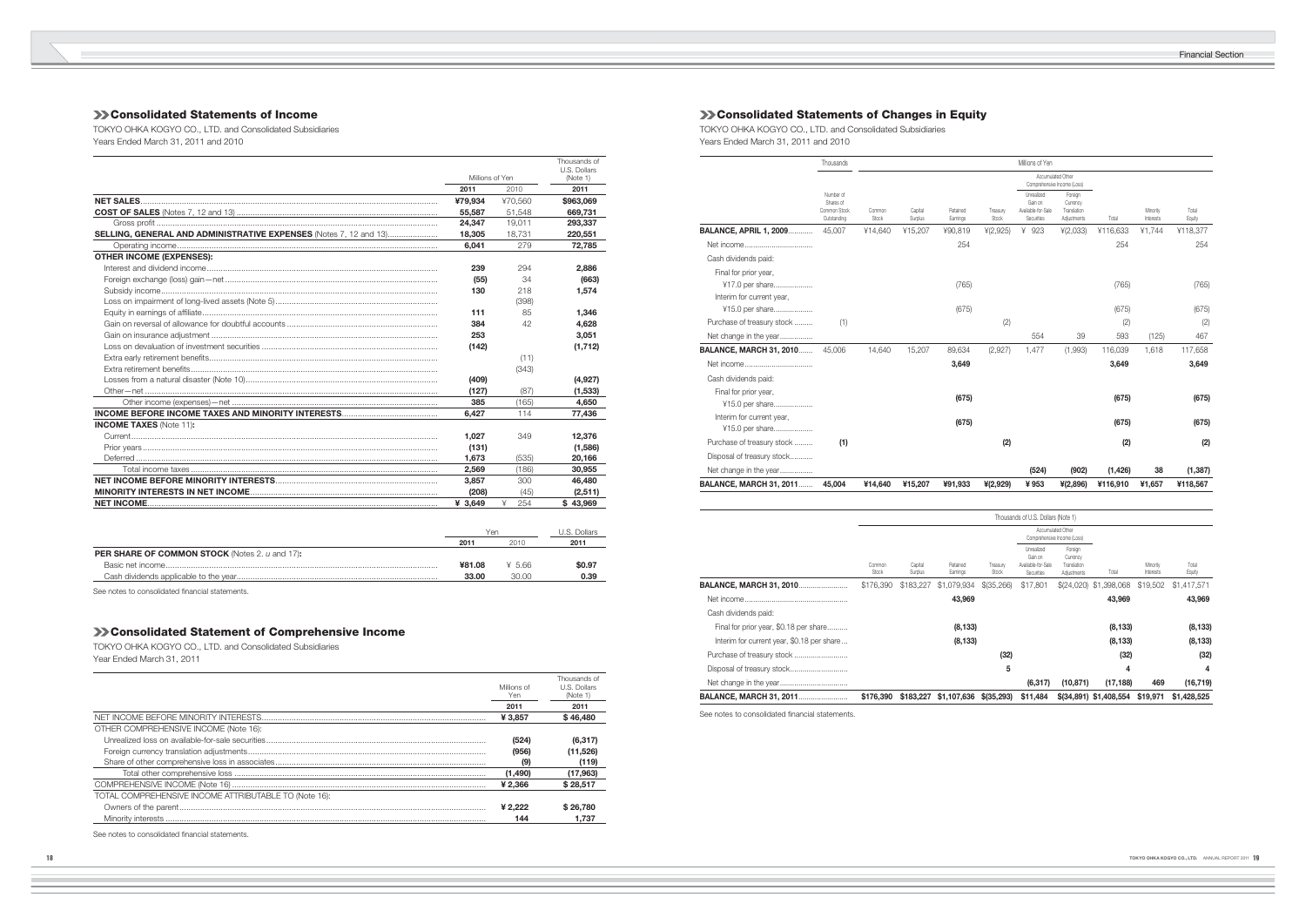# **Consolidated Statements of Income**

**College** 

TOKYO OHKA KOGYO CO., LTD. and Consolidated Subsidiaries Years Ended March 31, 2011 and 2010

|                                                                          |                 |          | Thousands of<br>U.S. Dollars |
|--------------------------------------------------------------------------|-----------------|----------|------------------------------|
|                                                                          | Millions of Yen |          | (Note 1)                     |
|                                                                          | 2011            | 2010     | 2011                         |
|                                                                          | ¥79,934         | ¥70.560  | \$963,069                    |
|                                                                          | 55,587          | 51.548   | 669.731                      |
|                                                                          | 24.347          | 19.011   | 293,337                      |
| <b>SELLING, GENERAL AND ADMINISTRATIVE EXPENSES</b> (Notes 7, 12 and 13) | 18,305          | 18.731   | 220,551                      |
|                                                                          | 6,041           | 279      | 72,785                       |
| <b>OTHER INCOME (EXPENSES):</b>                                          |                 |          |                              |
|                                                                          | 239             | 294      | 2,886                        |
|                                                                          | (55)            | 34       | (663)                        |
|                                                                          | 130             | 218      | 1,574                        |
|                                                                          |                 | (398)    |                              |
|                                                                          | 111             | 85       | 1,346                        |
|                                                                          | 384             | 42       | 4,628                        |
|                                                                          | 253             |          | 3,051                        |
|                                                                          | (142)           |          | (1, 712)                     |
|                                                                          |                 | (11)     |                              |
|                                                                          |                 | (343)    |                              |
|                                                                          | (409)           |          | (4,927)                      |
|                                                                          | (127)           | (87)     | (1,533)                      |
|                                                                          | 385             | (165)    | 4.650                        |
|                                                                          | 6.427           | 114      | 77,436                       |
| <b>INCOME TAXES (Note 11):</b>                                           |                 |          |                              |
|                                                                          | 1.027           | 349      | 12,376                       |
|                                                                          | (131)           |          | (1,586)                      |
|                                                                          | 1,673           | (535)    | 20,166                       |
| Total income taxes …………………………………………………………………………………………                    | 2,569           | (186)    | 30,955                       |
|                                                                          | 3.857           | 300      | 46,480                       |
|                                                                          | (208)           | (45)     | (2,511)                      |
|                                                                          | ¥ $3,649$       | ¥<br>254 | \$43,969                     |

|                                                       | Yer    |       | U.S. Dollars |
|-------------------------------------------------------|--------|-------|--------------|
|                                                       | 2011   | 201 C | 2011         |
| <b>PER SHARE OF COMMON STOCK</b> (Notes 2. u and 17): |        |       |              |
|                                                       | ¥81.08 | ¥5.66 | \$0.97       |
|                                                       | 33.00  | 30.00 | 0.39         |
|                                                       |        |       |              |

See notes to consolidated financial statements.

|                                                       | Millions of<br>Yen | Thousands of<br>U.S. Dollars<br>(Note 1) |
|-------------------------------------------------------|--------------------|------------------------------------------|
|                                                       | 2011               | 2011                                     |
|                                                       | ¥ 3.857            | \$46,480                                 |
| OTHER COMPREHENSIVE INCOME (Note 16):                 |                    |                                          |
|                                                       | (524)              | (6, 317)                                 |
|                                                       | (956)              | (11,526)                                 |
|                                                       | (9)                | (119)                                    |
|                                                       | (1.490)            | (17,963)                                 |
|                                                       | ¥ 2.366            | \$28,517                                 |
| TOTAL COMPREHENSIVE INCOME ATTRIBUTABLE TO (Note 16): |                    |                                          |
|                                                       | ¥ 2.222            | \$26,780                                 |
|                                                       | 144                | 1.737                                    |

See notes to consolidated financial statements.

# **Consolidated Statements of Changes in Equity**

# **Consolidated Statement of Comprehensive Income**

TOKYO OHKA KOGYO CO., LTD. and Consolidated Subsidiaries Year Ended March 31, 2011

| Year Ended March 31, 2011 |  |  |
|---------------------------|--|--|
|                           |  |  |

TOKYO OHKA KOGYO CO., LTD. and Consolidated Subsidiaries Years Ended March 31, 2011 and 2010

|                                | Thousands                                             |                 |                    |                      |                   | Millions of Yen                                           |                                                   |          |                       |                 |
|--------------------------------|-------------------------------------------------------|-----------------|--------------------|----------------------|-------------------|-----------------------------------------------------------|---------------------------------------------------|----------|-----------------------|-----------------|
|                                |                                                       |                 |                    |                      |                   | Accumulated Other<br>Comprehensive Income (Loss)          |                                                   |          |                       |                 |
|                                | Number of<br>Shares of<br>Common Stock<br>Outstanding | Common<br>Stock | Capital<br>Surplus | Retained<br>Earnings | Treasury<br>Stock | Unrealized<br>Gain on<br>Available-for-Sale<br>Securities | Foreign<br>Currency<br>Translation<br>Adjustments | Total    | Minority<br>Interests | Total<br>Equity |
| <b>BALANCE, APRIL 1, 2009</b>  | 45.007                                                | ¥14.640         | ¥15,207            | ¥90.819              | 4(2,925)          | ¥<br>923                                                  | 4(2,033)                                          | ¥116.633 | ¥1.744                | ¥118,377        |
|                                |                                                       |                 |                    | 254                  |                   |                                                           |                                                   | 254      |                       | 254             |
| Cash dividends paid:           |                                                       |                 |                    |                      |                   |                                                           |                                                   |          |                       |                 |
| Final for prior year,          |                                                       |                 |                    |                      |                   |                                                           |                                                   |          |                       |                 |
| ¥17.0 per share                |                                                       |                 |                    | (765)                |                   |                                                           |                                                   | (765)    |                       | (765)           |
| Interim for current year,      |                                                       |                 |                    |                      |                   |                                                           |                                                   |          |                       |                 |
| ¥15.0 per share                |                                                       |                 |                    | (675)                |                   |                                                           |                                                   | (675)    |                       | (675)           |
| Purchase of treasury stock     | (1)                                                   |                 |                    |                      | (2)               |                                                           |                                                   | (2)      |                       | (2)             |
| Net change in the year         |                                                       |                 |                    |                      |                   | 554                                                       | 39                                                | 593      | (125)                 | 467             |
| <b>BALANCE, MARCH 31, 2010</b> | 45.006                                                | 14.640          | 15,207             | 89.634               | (2,927)           | 1,477                                                     | (1,993)                                           | 116,039  | 1,618                 | 117,658         |
| Net income                     |                                                       |                 |                    | 3,649                |                   |                                                           |                                                   | 3,649    |                       | 3,649           |
| Cash dividends paid:           |                                                       |                 |                    |                      |                   |                                                           |                                                   |          |                       |                 |
| Final for prior year,          |                                                       |                 |                    |                      |                   |                                                           |                                                   |          |                       |                 |
| ¥15.0 per share                |                                                       |                 |                    | (675)                |                   |                                                           |                                                   | (675)    |                       | (675)           |
| Interim for current year,      |                                                       |                 |                    | (675)                |                   |                                                           |                                                   | (675)    |                       | (675)           |
| ¥15.0 per share                |                                                       |                 |                    |                      |                   |                                                           |                                                   |          |                       |                 |
| Purchase of treasury stock     | (1)                                                   |                 |                    |                      | (2)               |                                                           |                                                   | (2)      |                       | (2)             |
| Disposal of treasury stock     |                                                       |                 |                    |                      |                   |                                                           |                                                   |          |                       |                 |
| Net change in the year         |                                                       |                 |                    |                      |                   | (524)                                                     | (902)                                             | (1, 426) | 38                    | (1, 387)        |
| <b>BALANCE, MARCH 31, 2011</b> | 45.004                                                | ¥14.640         | ¥15,207            | ¥91,933              | ¥(2,929)          | ¥953                                                      | $*(2,896)$                                        | ¥116,910 | ¥1,657                | ¥118,567        |

|                                            |                 | Thousands of U.S. Dollars (Note 1) |                       |                   |                                                           |                                                   |                        |                       |                 |
|--------------------------------------------|-----------------|------------------------------------|-----------------------|-------------------|-----------------------------------------------------------|---------------------------------------------------|------------------------|-----------------------|-----------------|
|                                            |                 |                                    |                       |                   | Accumulated Other<br>Comprehensive Income (Loss)          |                                                   |                        |                       |                 |
|                                            | Common<br>Stock | Capital<br>Surplus                 | Retained<br>Earnings  | Treasury<br>Stock | Unrealized<br>Gain on<br>Available-for-Sale<br>Securities | Foreign<br>Currency<br>Translation<br>Adjustments | Total                  | Minority<br>Interests | Total<br>Equity |
| <b>BALANCE, MARCH 31, 2010</b>             | \$176,390       | \$183,227                          | \$1,079,934           | \$(35,266)        | \$17,801                                                  | \$(24,020)                                        | ,398,068<br>\$1        | \$19,502              | \$1,417,571     |
|                                            |                 |                                    | 43,969                |                   |                                                           |                                                   | 43,969                 |                       | 43,969          |
| Cash dividends paid:                       |                 |                                    |                       |                   |                                                           |                                                   |                        |                       |                 |
| Final for prior year, \$0.18 per share     |                 |                                    | (8, 133)              |                   |                                                           |                                                   | (8, 133)               |                       | (8, 133)        |
| Interim for current year, \$0.18 per share |                 |                                    | (8, 133)              |                   |                                                           |                                                   | (8, 133)               |                       | (8, 133)        |
|                                            |                 |                                    |                       | (32)              |                                                           |                                                   | (32)                   |                       | (32)            |
|                                            |                 |                                    |                       | 5                 |                                                           |                                                   | 4                      |                       | 4               |
|                                            |                 |                                    |                       |                   | (6, 317)                                                  | (10, 871)                                         | (17, 188)              | 469                   | (16, 719)       |
| <b>BALANCE, MARCH 31, 2011</b>             | \$176,390       |                                    | \$183,227 \$1,107,636 | $$$ (35,293)      | \$11,484                                                  |                                                   | \$(34,891) \$1,408,554 | \$19,971              | \$1,428,525     |

See notes to consolidated financial statements.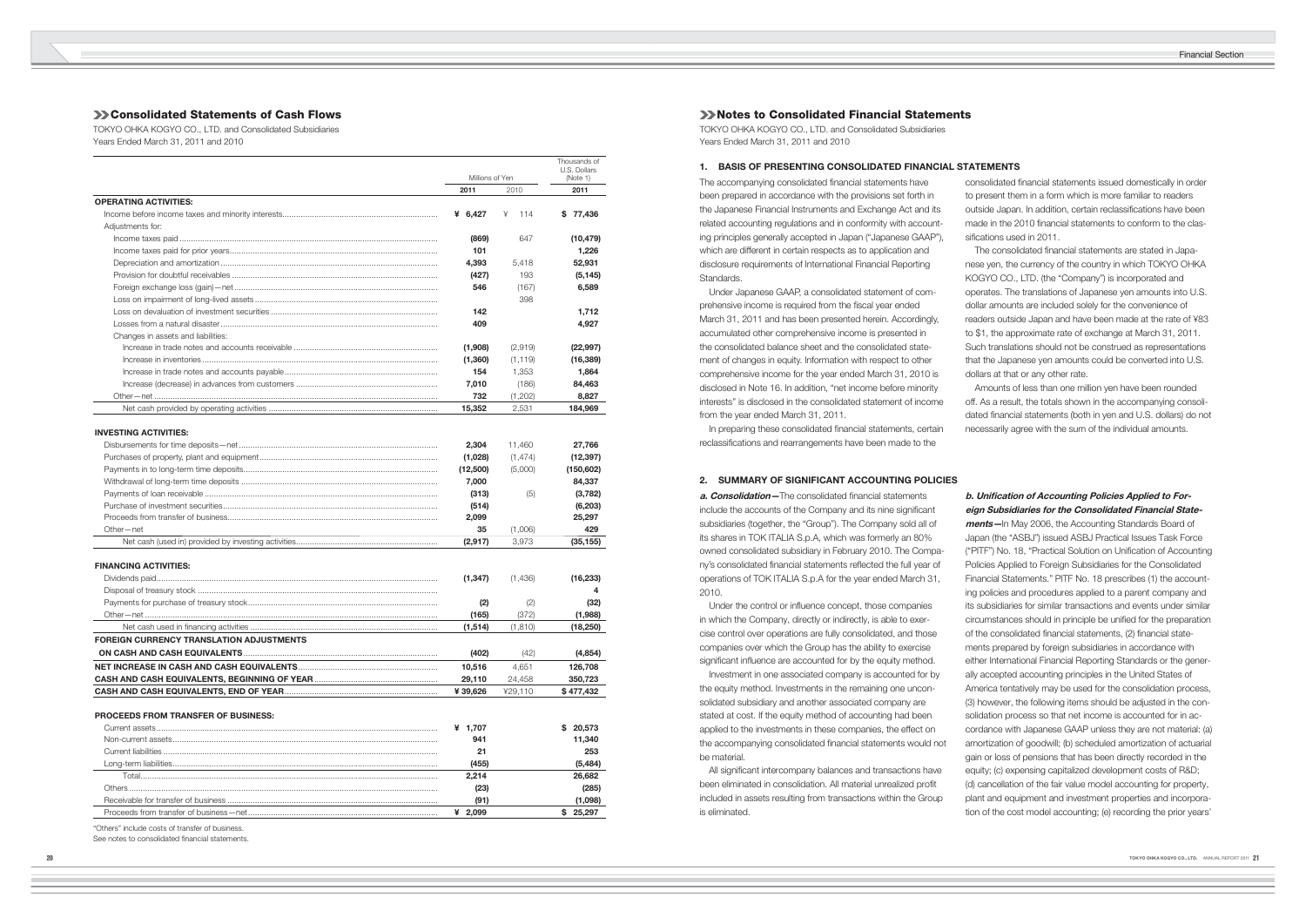consolidated financial statements issued domestically in order to present them in a form which is more familiar to readers outside Japan. In addition, certain reclassifications have been made in the 2010 financial statements to conform to the classifications used in 2011.

# **Consolidated Statements of Cash Flows**

TOKYO OHKA KOGYO CO., LTD. and Consolidated Subsidiaries Years Ended March 31, 2011 and 2010

|                                                 |                 |          | Thousands of             |
|-------------------------------------------------|-----------------|----------|--------------------------|
|                                                 | Millions of Yen |          | U.S. Dollars<br>(Note 1) |
|                                                 | 2011            | 2010     | 2011                     |
| <b>OPERATING ACTIVITIES:</b>                    |                 |          |                          |
|                                                 | ¥ $6.427$       | ¥<br>114 | \$77,436                 |
| Adjustments for:                                |                 |          |                          |
|                                                 | (869)           | 647      | (10, 479)                |
|                                                 | 101             |          | 1,226                    |
|                                                 | 4,393           | 5,418    | 52,931                   |
|                                                 | (427)           | 193      | (5, 145)                 |
|                                                 | 546             | (167)    | 6,589                    |
|                                                 |                 | 398      |                          |
|                                                 | 142             |          | 1,712                    |
|                                                 | 409             |          | 4,927                    |
| Changes in assets and liabilities:              |                 |          |                          |
|                                                 | (1,908)         | (2,919)  | (22, 997)                |
|                                                 | (1,360)         | (1, 119) | (16, 389)                |
|                                                 | 154             | 1,353    | 1,864                    |
|                                                 | 7,010           | (186)    | 84,463                   |
|                                                 | 732             | (1,202)  | 8,827                    |
|                                                 | 15,352          | 2,531    | 184,969                  |
|                                                 |                 |          |                          |
| <b>INVESTING ACTIVITIES:</b>                    |                 |          |                          |
|                                                 | 2,304           | 11,460   | 27,766                   |
|                                                 | (1,028)         | (1, 474) | (12, 397)                |
|                                                 | (12,500)        | (5,000)  | (150, 602)               |
|                                                 |                 |          |                          |
|                                                 | 7,000           |          | 84,337                   |
|                                                 | (313)           | (5)      | (3,782)                  |
|                                                 | (514)           |          | (6, 203)                 |
|                                                 | 2,099           |          | 25,297                   |
| Other-net                                       | 35              | (1,006)  | 429                      |
|                                                 | (2,917)         | 3,973    | (35, 155)                |
|                                                 |                 |          |                          |
| <b>FINANCING ACTIVITIES:</b>                    |                 |          |                          |
|                                                 | (1, 347)        | (1,436)  | (16, 233)                |
|                                                 |                 |          | 4                        |
|                                                 | (2)             | (2)      | (32)                     |
|                                                 | (165)           | (372)    | (1,988)                  |
|                                                 | (1, 514)        | (1, 810) | (18, 250)                |
| <b>FOREIGN CURRENCY TRANSLATION ADJUSTMENTS</b> |                 |          |                          |
|                                                 | (402)           | (42)     | (4, 854)                 |
|                                                 | 10,516          | 4,651    | 126,708                  |
|                                                 | 29,110          | 24,458   | 350,723                  |
|                                                 | ¥ 39,626        | ¥29,110  | \$477,432                |
|                                                 |                 |          |                          |
| <b>PROCEEDS FROM TRANSFER OF BUSINESS:</b>      |                 |          |                          |
|                                                 | ¥ 1,707         |          | \$20,573                 |
|                                                 | 941             |          | 11,340                   |
|                                                 | 21              |          | 253                      |
|                                                 | (455)           |          | (5, 484)                 |
|                                                 | 2,214           |          | 26,682                   |
|                                                 | (23)            |          | (285)                    |
|                                                 | (91)            |          | (1,098)                  |
|                                                 | ¥ 2,099         |          | \$25,297                 |

The accompanying consolidated financial statements have been prepared in accordance with the provisions set forth in the Japanese Financial Instruments and Exchange Act and its related accounting regulations and in conformity with accounting principles generally accepted in Japan ("Japanese GAAP"), which are different in certain respects as to application and disclosure requirements of International Financial Reporting Standards.

The consolidated financial statements are stated in Japanese yen, the currency of the country in which TOKYO OHKA KOGYO CO., LTD. (the "Company") is incorporated and operates. The translations of Japanese yen amounts into U.S. dollar amounts are included solely for the convenience of readers outside Japan and have been made at the rate of ¥83 to \$1, the approximate rate of exchange at March 31, 2011. Such translations should not be construed as representations that the Japanese yen amounts could be converted into U.S. dollars at that or any other rate.

**a. Consolidation**—The consolidated financial statements include the accounts of the Company and its nine significant subsidiaries (together, the "Group"). The Company sold all of its shares in TOK ITALIA S.p.A, which was formerly an 80% owned consolidated subsidiary in February 2010. The Company's consolidated financial statements reflected the full year of operations of TOK ITALIA S.p.A for the year ended March 31, 2010.

Under the control or influence concept, those companies in which the Company, directly or indirectly, is able to exercise control over operations are fully consolidated, and those companies over which the Group has the ability to exercise significant influence are accounted for by the equity method.

All significant intercompany balances and transactions have been eliminated in consolidation. All material unrealized profit included in assets resulting from transactions within the Group is eliminated.

# b. Unification of Accounting Policies Applied to For**eign Subsidiaries for the Consolidated Financial State-**

"Others" include costs of transfer of business.

See notes to consolidated financial statements.

# **XX** Notes to Consolidated Financial Statements

TOKYO OHKA KOGYO CO., LTD. and Consolidated Subsidiaries Years Ended March 31, 2011 and 2010

# **1. BASIS OF PRESENTING CONSOLIDATED FINANCIAL STATEMENTS**

 Under Japanese GAAP, a consolidated statement of comprehensive income is required from the fiscal year ended March 31, 2011 and has been presented herein. Accordingly, accumulated other comprehensive income is presented in the consolidated balance sheet and the consolidated statement of changes in equity. Information with respect to other comprehensive income for the year ended March 31, 2010 is disclosed in Note 16. In addition, "net income before minority interests" is disclosed in the consolidated statement of income from the year ended March 31, 2011.

In preparing these consolidated financial statements, certain reclassifications and rearrangements have been made to the

 Amounts of less than one million yen have been rounded off. As a result, the totals shown in the accompanying consolidated financial statements (both in yen and U.S. dollars) do not necessarily agree with the sum of the individual amounts.

 Investment in one associated company is accounted for by the equity method. Investments in the remaining one unconsolidated subsidiary and another associated company are stated at cost. If the equity method of accounting had been applied to the investments in these companies, the effect on the accompanying consolidated financial statements would not be material.

**ments—**In May 2006, the Accounting Standards Board of Japan (the "ASBJ") issued ASBJ Practical Issues Task Force ("PITF") No. 18, "Practical Solution on Unification of Accounting Policies Applied to Foreign Subsidiaries for the Consolidated Financial Statements." PITF No. 18 prescribes (1) the accounting policies and procedures applied to a parent company and its subsidiaries for similar transactions and events under similar circumstances should in principle be unified for the preparation of the consolidated financial statements, (2) financial statements prepared by foreign subsidiaries in accordance with either International Financial Reporting Standards or the generally accepted accounting principles in the United States of America tentatively may be used for the consolidation process, (3) however, the following items should be adjusted in the consolidation process so that net income is accounted for in accordance with Japanese GAAP unless they are not material: (a) amortization of goodwill; (b) scheduled amortization of actuarial gain or loss of pensions that has been directly recorded in the equity; (c) expensing capitalized development costs of R&D; (d) cancellation of the fair value model accounting for property, plant and equipment and investment properties and incorporation of the cost model accounting; (e) recording the prior years'

# **2. SUMMARY OF SIGNIFICANT ACCOUNTING POLICIES**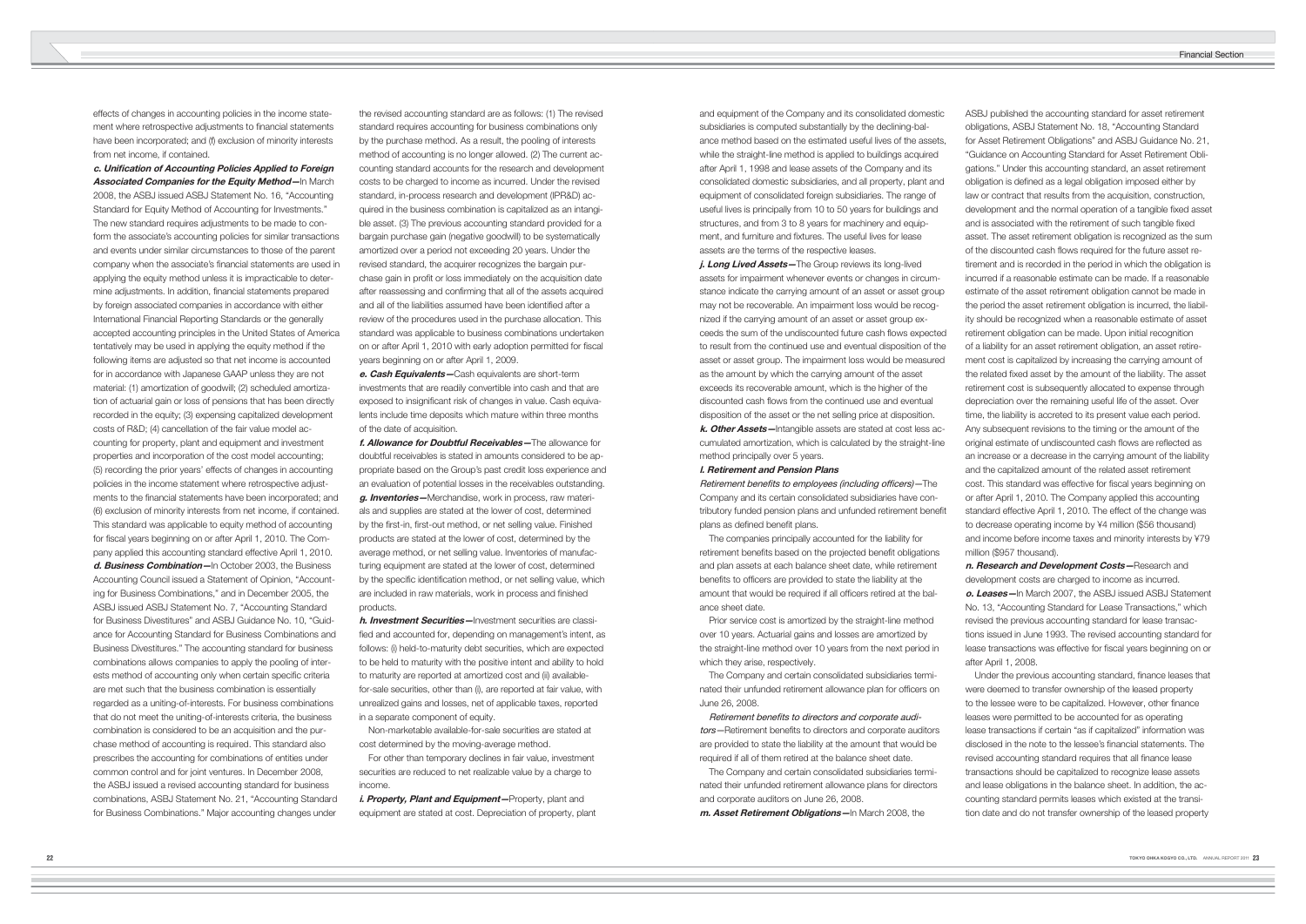effects of changes in accounting policies in the income statement where retrospective adjustments to financial statements have been incorporated; and (f) exclusion of minority interests from net income, if contained.

**c. Unifi cation of Accounting Policies Applied to Foreign Associated Companies for the Equity Method-In March** 2008, the ASBJ issued ASBJ Statement No. 16, "Accounting Standard for Equity Method of Accounting for Investments." The new standard requires adjustments to be made to conform the associate's accounting policies for similar transactions and events under similar circumstances to those of the parent company when the associate's financial statements are used in applying the equity method unless it is impracticable to determine adjustments. In addition, financial statements prepared by foreign associated companies in accordance with either International Financial Reporting Standards or the generally accepted accounting principles in the United States of America tentatively may be used in applying the equity method if the following items are adjusted so that net income is accounted for in accordance with Japanese GAAP unless they are not material: (1) amortization of goodwill; (2) scheduled amortization of actuarial gain or loss of pensions that has been directly recorded in the equity; (3) expensing capitalized development costs of R&D; (4) cancellation of the fair value model accounting for property, plant and equipment and investment properties and incorporation of the cost model accounting; (5) recording the prior years' effects of changes in accounting policies in the income statement where retrospective adjustments to the financial statements have been incorporated; and (6) exclusion of minority interests from net income, if contained. This standard was applicable to equity method of accounting for fiscal years beginning on or after April 1, 2010. The Company applied this accounting standard effective April 1, 2010. **d. Business Combination—**In October 2003, the Business Accounting Council issued a Statement of Opinion, "Accounting for Business Combinations," and in December 2005, the ASBJ issued ASBJ Statement No. 7, "Accounting Standard for Business Divestitures" and ASBJ Guidance No. 10, "Guidance for Accounting Standard for Business Combinations and Business Divestitures." The accounting standard for business combinations allows companies to apply the pooling of interests method of accounting only when certain specific criteria are met such that the business combination is essentially regarded as a uniting-of-interests. For business combinations that do not meet the uniting-of-interests criteria, the business combination is considered to be an acquisition and the purchase method of accounting is required. This standard also prescribes the accounting for combinations of entities under common control and for joint ventures. In December 2008, the ASBJ issued a revised accounting standard for business combinations, ASBJ Statement No. 21, "Accounting Standard for Business Combinations." Major accounting changes under

i. Property, Plant and Equipment-Property, plant and equipment are stated at cost. Depreciation of property, plant

the revised accounting standard are as follows: (1) The revised standard requires accounting for business combinations only by the purchase method. As a result, the pooling of interests method of accounting is no longer allowed. (2) The current accounting standard accounts for the research and development costs to be charged to income as incurred. Under the revised standard, in-process research and development (IPR&D) acquired in the business combination is capitalized as an intangible asset. (3) The previous accounting standard provided for a bargain purchase gain (negative goodwill) to be systematically amortized over a period not exceeding 20 years. Under the revised standard, the acquirer recognizes the bargain purchase gain in profit or loss immediately on the acquisition date after reassessing and confirming that all of the assets acquired and all of the liabilities assumed have been identified after a review of the procedures used in the purchase allocation. This standard was applicable to business combinations undertaken on or after April 1, 2010 with early adoption permitted for fiscal years beginning on or after April 1, 2009.

> tors—Retirement benefits to directors and corporate auditors are provided to state the liability at the amount that would be required if all of them retired at the balance sheet date.

**e. Cash Equivalents—**Cash equivalents are short-term investments that are readily convertible into cash and that are exposed to insignificant risk of changes in value. Cash equivalents include time deposits which mature within three months of the date of acquisition.

**f. Allowance for Doubtful Receivables—**The allowance for doubtful receivables is stated in amounts considered to be appropriate based on the Group's past credit loss experience and an evaluation of potential losses in the receivables outstanding. **g. Inventories—**Merchandise, work in process, raw materials and supplies are stated at the lower of cost, determined by the first-in, first-out method, or net selling value. Finished products are stated at the lower of cost, determined by the average method, or net selling value. Inventories of manufacturing equipment are stated at the lower of cost, determined by the specific identification method, or net selling value, which are included in raw materials, work in process and finished products.

**h. Investment Securities—**Investment securities are classified and accounted for, depending on management's intent, as follows: (i) held-to-maturity debt securities, which are expected to be held to maturity with the positive intent and ability to hold to maturity are reported at amortized cost and (ii) availablefor-sale securities, other than (i), are reported at fair value, with unrealized gains and losses, net of applicable taxes, reported in a separate component of equity.

 Non-marketable available-for-sale securities are stated at cost determined by the moving-average method.

 For other than temporary declines in fair value, investment securities are reduced to net realizable value by a charge to income.

Under the previous accounting standard, finance leases that were deemed to transfer ownership of the leased property to the lessee were to be capitalized. However, other finance leases were permitted to be accounted for as operating lease transactions if certain "as if capitalized" information was disclosed in the note to the lessee's financial statements. The revised accounting standard requires that all finance lease transactions should be capitalized to recognize lease assets and lease obligations in the balance sheet. In addition, the accounting standard permits leases which existed at the transition date and do not transfer ownership of the leased property

and equipment of the Company and its consolidated domestic subsidiaries is computed substantially by the declining-balance method based on the estimated useful lives of the assets, while the straight-line method is applied to buildings acquired after April 1, 1998 and lease assets of the Company and its consolidated domestic subsidiaries, and all property, plant and equipment of consolidated foreign subsidiaries. The range of useful lives is principally from 10 to 50 years for buildings and structures, and from 3 to 8 years for machinery and equipment, and furniture and fixtures. The useful lives for lease assets are the terms of the respective leases.

**j. Long Lived Assets—**The Group reviews its long-lived assets for impairment whenever events or changes in circumstance indicate the carrying amount of an asset or asset group may not be recoverable. An impairment loss would be recognized if the carrying amount of an asset or asset group exceeds the sum of the undiscounted future cash flows expected to result from the continued use and eventual disposition of the asset or asset group. The impairment loss would be measured as the amount by which the carrying amount of the asset exceeds its recoverable amount, which is the higher of the discounted cash flows from the continued use and eventual disposition of the asset or the net selling price at disposition. **k. Other Assets—**Intangible assets are stated at cost less ac-

cumulated amortization, which is calculated by the straight-line method principally over 5 years.

#### **l. Retirement and Pension Plans**

Retirement benefits to employees (including officers)-The Company and its certain consolidated subsidiaries have contributory funded pension plans and unfunded retirement benefit plans as defined benefit plans.

 The companies principally accounted for the liability for retirement benefits based on the projected benefit obligations and plan assets at each balance sheet date, while retirement benefits to officers are provided to state the liability at the amount that would be required if all officers retired at the balance sheet date.

 Prior service cost is amortized by the straight-line method over 10 years. Actuarial gains and losses are amortized by the straight-line method over 10 years from the next period in which they arise, respectively.

 The Company and certain consolidated subsidiaries terminated their unfunded retirement allowance plan for officers on June 26, 2008.

### Retirement benefits to directors and corporate audi-

 The Company and certain consolidated subsidiaries terminated their unfunded retirement allowance plans for directors and corporate auditors on June 26, 2008.

**m. Asset Retirement Obligations—**In March 2008, the

ASBJ published the accounting standard for asset retirement obligations, ASBJ Statement No. 18, "Accounting Standard for Asset Retirement Obligations" and ASBJ Guidance No. 21, "Guidance on Accounting Standard for Asset Retirement Obligations." Under this accounting standard, an asset retirement obligation is defined as a legal obligation imposed either by law or contract that results from the acquisition, construction, development and the normal operation of a tangible fixed asset and is associated with the retirement of such tangible fixed asset. The asset retirement obligation is recognized as the sum of the discounted cash flows required for the future asset retirement and is recorded in the period in which the obligation is incurred if a reasonable estimate can be made. If a reasonable estimate of the asset retirement obligation cannot be made in the period the asset retirement obligation is incurred, the liability should be recognized when a reasonable estimate of asset retirement obligation can be made. Upon initial recognition of a liability for an asset retirement obligation, an asset retirement cost is capitalized by increasing the carrying amount of the related fixed asset by the amount of the liability. The asset retirement cost is subsequently allocated to expense through depreciation over the remaining useful life of the asset. Over time, the liability is accreted to its present value each period. Any subsequent revisions to the timing or the amount of the original estimate of undiscounted cash flows are reflected as an increase or a decrease in the carrying amount of the liability and the capitalized amount of the related asset retirement cost. This standard was effective for fiscal years beginning on or after April 1, 2010. The Company applied this accounting standard effective April 1, 2010. The effect of the change was to decrease operating income by ¥4 million (\$56 thousand) and income before income taxes and minority interests by ¥79 million (\$957 thousand).

**n. Research and Development Costs—**Research and development costs are charged to income as incurred. **o. Leases—**In March 2007, the ASBJ issued ASBJ Statement No. 13, "Accounting Standard for Lease Transactions," which revised the previous accounting standard for lease transactions issued in June 1993. The revised accounting standard for lease transactions was effective for fiscal years beginning on or after April 1, 2008.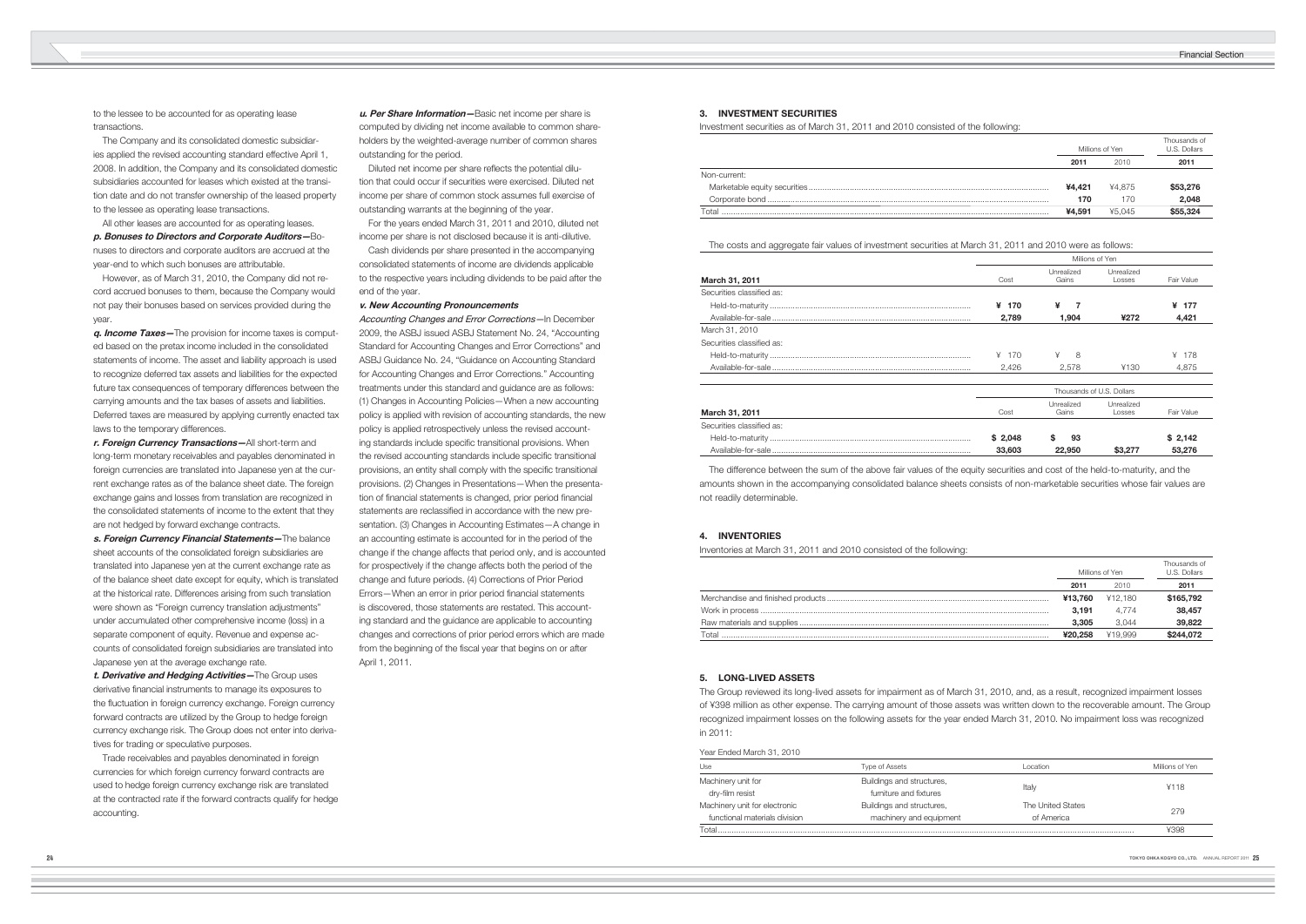to the lessee to be accounted for as operating lease transactions.

 The Company and its consolidated domestic subsidiaries applied the revised accounting standard effective April 1, 2008. In addition, the Company and its consolidated domestic subsidiaries accounted for leases which existed at the transition date and do not transfer ownership of the leased property to the lessee as operating lease transactions.

 All other leases are accounted for as operating leases. **p. Bonuses to Directors and Corporate Auditors—**Bonuses to directors and corporate auditors are accrued at the year-end to which such bonuses are attributable.

 However, as of March 31, 2010, the Company did not record accrued bonuses to them, because the Company would not pay their bonuses based on services provided during the year.

**q. Income Taxes—**The provision for income taxes is computed based on the pretax income included in the consolidated statements of income. The asset and liability approach is used to recognize deferred tax assets and liabilities for the expected future tax consequences of temporary differences between the carrying amounts and the tax bases of assets and liabilities. Deferred taxes are measured by applying currently enacted tax laws to the temporary differences.

**r. Foreign Currency Transactions—**All short-term and long-term monetary receivables and payables denominated in foreign currencies are translated into Japanese yen at the current exchange rates as of the balance sheet date. The foreign exchange gains and losses from translation are recognized in the consolidated statements of income to the extent that they are not hedged by forward exchange contracts.

Diluted net income per share reflects the potential dilution that could occur if securities were exercised. Diluted net income per share of common stock assumes full exercise of outstanding warrants at the beginning of the year.

**s. Foreign Currency Financial Statements—**The balance sheet accounts of the consolidated foreign subsidiaries are translated into Japanese yen at the current exchange rate as of the balance sheet date except for equity, which is translated at the historical rate. Differences arising from such translation were shown as "Foreign currency translation adjustments" under accumulated other comprehensive income (loss) in a separate component of equity. Revenue and expense accounts of consolidated foreign subsidiaries are translated into Japanese yen at the average exchange rate.

**t. Derivative and Hedging Activities—**The Group uses derivative financial instruments to manage its exposures to the fluctuation in foreign currency exchange. Foreign currency forward contracts are utilized by the Group to hedge foreign currency exchange risk. The Group does not enter into derivatives for trading or speculative purposes.

 Trade receivables and payables denominated in foreign currencies for which foreign currency forward contracts are used to hedge foreign currency exchange risk are translated at the contracted rate if the forward contracts qualify for hedge accounting.

**u. Per Share Information—**Basic net income per share is computed by dividing net income available to common shareholders by the weighted-average number of common shares outstanding for the period.

 For the years ended March 31, 2011 and 2010, diluted net income per share is not disclosed because it is anti-dilutive.

 Cash dividends per share presented in the accompanying consolidated statements of income are dividends applicable to the respective years including dividends to be paid after the end of the year.

# **v. New Accounting Pronouncements**

Accounting Changes and Error Corrections—In December 2009, the ASBJ issued ASBJ Statement No. 24, "Accounting Standard for Accounting Changes and Error Corrections" and ASBJ Guidance No. 24, "Guidance on Accounting Standard for Accounting Changes and Error Corrections." Accounting treatments under this standard and guidance are as follows: (1) Changes in Accounting Policies—When a new accounting policy is applied with revision of accounting standards, the new policy is applied retrospectively unless the revised accounting standards include specific transitional provisions. When the revised accounting standards include specific transitional provisions, an entity shall comply with the specific transitional provisions. (2) Changes in Presentations—When the presentation of financial statements is changed, prior period financial statements are reclassified in accordance with the new presentation. (3) Changes in Accounting Estimates—A change in an accounting estimate is accounted for in the period of the change if the change affects that period only, and is accounted for prospectively if the change affects both the period of the change and future periods. (4) Corrections of Prior Period Errors—When an error in prior period financial statements is discovered, those statements are restated. This accounting standard and the guidance are applicable to accounting changes and corrections of prior period errors which are made from the beginning of the fiscal year that begins on or after April 1, 2011.

### **4. INVENTORIES**

Inventories at March 31, 2011 and 2010 consisted of the following:

|       |         | Millions of Yen | Thousands of<br>U.S. Dollars |
|-------|---------|-----------------|------------------------------|
|       | 2011    | 2010            | 2011                         |
|       | ¥13.760 | ¥12.180         | \$165,792                    |
|       | 3.191   | 4.774           | 38,457                       |
|       | 3.305   | 3.044           | 39,822                       |
| Total | ¥20,258 | ¥19.999         | \$244,072                    |

# **3. INVESTMENT SECURITIES**

Investment securities as of March 31, 2011 and 2010 consisted of the following:

|            | Millions of Yen | Thousands of<br>U.S. Dollars |
|------------|-----------------|------------------------------|
| 2011       | 2010            | 2011                         |
|            |                 |                              |
| ¥4,421     | ¥4.875          | \$53,276                     |
| 170        | 170             | 2,048                        |
| <br>¥4.591 | ¥5.045          | \$55,324                     |
|            |                 |                              |

|              | ---    | $\sim$ |          |
|--------------|--------|--------|----------|
| Non-current: |        |        |          |
|              | ¥4.421 | ¥4.875 | \$53,276 |
|              | 170    |        | 2,048    |
| Total        | ¥4.591 | ¥5.045 | \$55,324 |
|              |        |        |          |

The costs and aggregate fair values of investment securities at March 31, 2011 and 2010 were as follows:

|                           | Millions of Yen           |                     |                       |            |
|---------------------------|---------------------------|---------------------|-----------------------|------------|
| March 31, 2011            | Cost                      | Unrealized<br>Gains | Unrealized<br>l osses | Fair Value |
| Securities classified as: |                           |                     |                       |            |
|                           | ¥<br>170                  | ¥<br>7              |                       | ¥ 177      |
|                           | 2,789                     | 1.904               | ¥272                  | 4,421      |
| March 31, 2010            |                           |                     |                       |            |
| Securities classified as: |                           |                     |                       |            |
|                           | ¥<br>170                  | ¥<br>8              |                       | ¥<br>178   |
|                           | 2,426                     | 2,578               | ¥130                  | 4,875      |
|                           | Thousands of U.S. Dollars |                     |                       |            |
| March 31, 2011            | Cost                      | Unrealized<br>Gains | Unrealized<br>Losses  | Fair Value |
| Securities classified as: |                           |                     |                       |            |
|                           | \$2,048                   | \$<br>93            |                       | \$2,142    |
| $A$ vailable-for-sale     | 33.603                    | 22,950              | \$3,277               | 53.276     |

|                           | Millions of Yen           |                     |                      |            |
|---------------------------|---------------------------|---------------------|----------------------|------------|
| March 31, 2011            | Cost                      | Unrealized<br>Gains | Unrealized<br>Losses | Fair Value |
| Securities classified as: |                           |                     |                      |            |
|                           | ¥<br>170                  | ¥                   |                      | ¥ 177      |
|                           | 2,789                     | 1,904               | ¥272                 | 4,421      |
| March 31, 2010            |                           |                     |                      |            |
| Securities classified as: |                           |                     |                      |            |
|                           | ¥ 170                     | ¥<br>8              |                      | ¥<br>178   |
|                           | 2,426                     | 2,578               | ¥130                 | 4,875      |
|                           | Thousands of U.S. Dollars |                     |                      |            |
| March 31, 2011            | Cost                      | Unrealized<br>Gains | Unrealized<br>Losses | Fair Value |
| Securities classified as: |                           |                     |                      |            |
|                           | \$2,048                   | S<br>93             |                      | \$2,142    |
|                           | 33,603                    | 22,950              | \$3,277              | 53,276     |

 The difference between the sum of the above fair values of the equity securities and cost of the held-to-maturity, and the amounts shown in the accompanying consolidated balance sheets consists of non-marketable securities whose fair values are not readily determinable.

# **5. LONG-LIVED ASSETS**

The Group reviewed its long-lived assets for impairment as of March 31, 2010, and, as a result, recognized impairment losses of ¥398 million as other expense. The carrying amount of those assets was written down to the recoverable amount. The Group recognized impairment losses on the following assets for the year ended March 31, 2010. No impairment loss was recognized in 2011:

| Use                           | <b>Type of Assets</b>     | l ocation         | Millions of Yen |  |
|-------------------------------|---------------------------|-------------------|-----------------|--|
| Machinery unit for            | Buildings and structures, |                   |                 |  |
| dry-film resist               | furniture and fixtures    | Italy             | ¥118            |  |
| Machinery unit for electronic | Buildings and structures, | The United States |                 |  |
| functional materials division | machinery and equipment   | of America        | 279             |  |
| Total                         |                           |                   | ¥398            |  |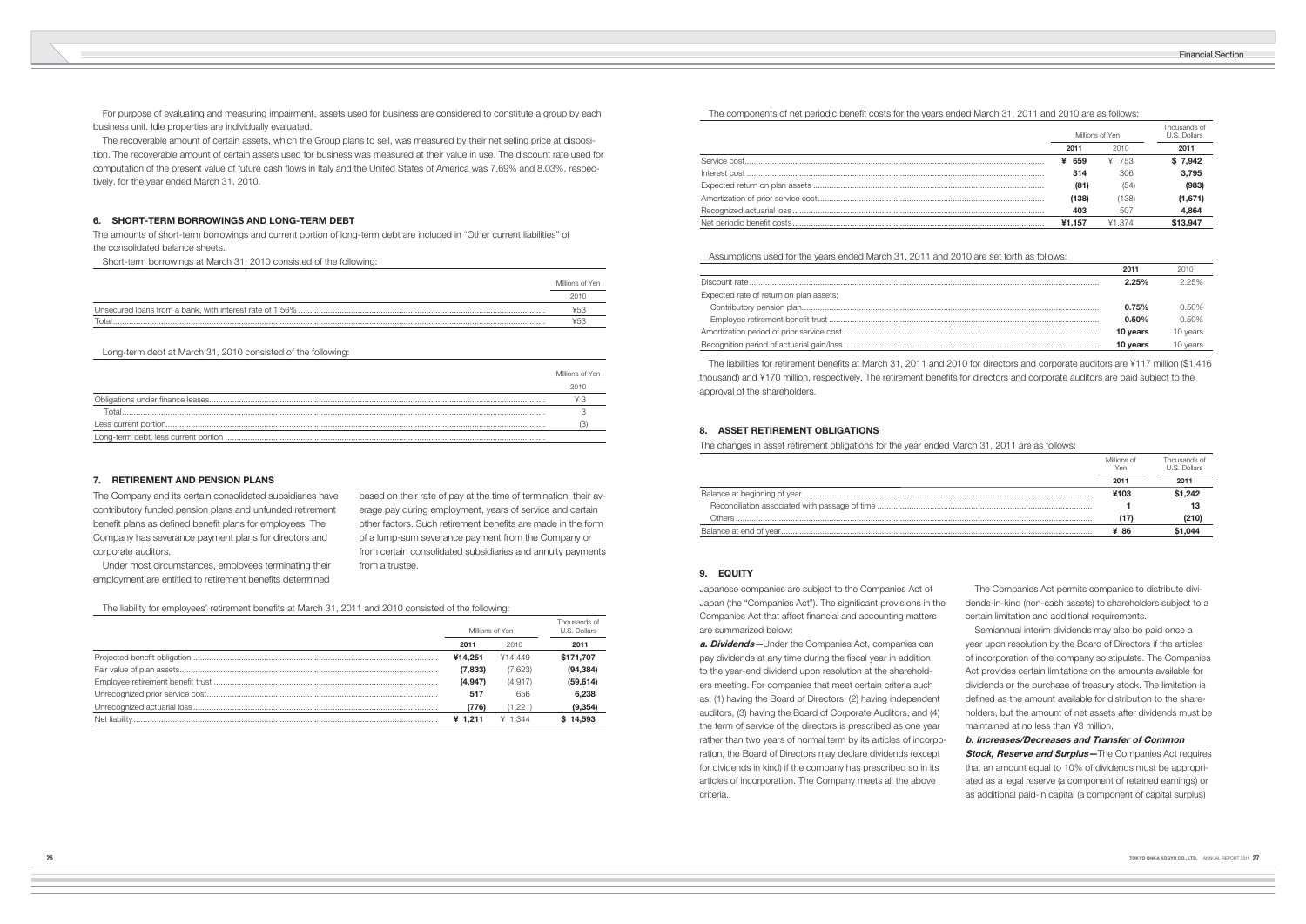For purpose of evaluating and measuring impairment, assets used for business are considered to constitute a group by each business unit. Idle properties are individually evaluated.

 The recoverable amount of certain assets, which the Group plans to sell, was measured by their net selling price at disposition. The recoverable amount of certain assets used for business was measured at their value in use. The discount rate used for computation of the present value of future cash flows in Italy and the United States of America was 7.69% and 8.03%, respectively, for the year ended March 31, 2010.

# **6. SHORT-TERM BORROWINGS AND LONG-TERM DEBT**

The amounts of short-term borrowings and current portion of long-term debt are included in "Other current liabilities" of the consolidated balance sheets.

Short-term borrowings at March 31, 2010 consisted of the following:

|       | Millions of Yen |
|-------|-----------------|
|       | 201             |
|       |                 |
| Total |                 |

Long-term debt at March 31, 2010 consisted of the following:

| Millions of Yen |
|-----------------|
|                 |
|                 |
|                 |
|                 |
|                 |

The liabilities for retirement benefits at March 31, 2011 and 2010 for directors and corporate auditors are ¥117 million (\$1,416 thousand) and ¥170 million, respectively. The retirement benefits for directors and corporate auditors are paid subject to the approval of the shareholders.

 Under most circumstances, employees terminating their employment are entitled to retirement benefits determined

| THE COMPONDITION OF HIS PONDITION COOLD TOP LITO YOUR OF RIGHT OF PLANCE. LOT IT WHAT LOT OT UP ON ONO HOMOL. |                 |        |                              |
|---------------------------------------------------------------------------------------------------------------|-----------------|--------|------------------------------|
|                                                                                                               | Millions of Yen |        | Thousands of<br>U.S. Dollars |
|                                                                                                               | 2011            | 2010   | 2011                         |
|                                                                                                               | ¥ 659           | ¥ 753  | \$7,942                      |
|                                                                                                               | 314             | 306    | 3.795                        |
|                                                                                                               | (81)            | (54)   | (983)                        |
|                                                                                                               | (138)           | (138)  | (1,671)                      |
|                                                                                                               | 403             | 507    | 4.864                        |
|                                                                                                               | ¥1.157          | ¥1.374 | \$13.947                     |

Assumptions used for the years ended March 31, 2011 and 2010 are set forth as follows:

|                                         | 2011     | 2010     |
|-----------------------------------------|----------|----------|
|                                         | 2.25%    | 2.25%    |
| Expected rate of return on plan assets: |          |          |
|                                         | 0.75%    | 0.50%    |
|                                         | 0.50%    | 0.50%    |
|                                         | 10 years | 10 years |
|                                         | 10 years | 10 years |

## **7. RETIREMENT AND PENSION PLANS**

The Company and its certain consolidated subsidiaries have contributory funded pension plans and unfunded retirement benefit plans as defined benefit plans for employees. The Company has severance payment plans for directors and corporate auditors.

based on their rate of pay at the time of termination, their average pay during employment, years of service and certain other factors. Such retirement benefits are made in the form of a lump-sum severance payment from the Company or from certain consolidated subsidiaries and annuity payments from a trustee.

The liability for employees' retirement benefits at March 31, 2011 and 2010 consisted of the following:

| Millions of Yen |          | Thousands of<br>U.S. Dollars |
|-----------------|----------|------------------------------|
| 2011            | 2010     | 2011                         |
| ¥14.251         | ¥14.449  | \$171,707                    |
| (7,833)         | (7,623)  | (94, 384)                    |
| (4,947)         | (4, 917) | (59, 614)                    |
| 517             | 656      | 6,238                        |
| (776)           | (1.221)  | (9, 354)                     |
| ¥ $1.211$       | ¥ 1.344  | \$14,593                     |

# The components of net periodic benefit costs for the years ended March 31, 2011 and 2010 are as follows:

# **8. ASSET RETIREMENT OBLIGATIONS**

The changes in asset retirement obligations for the year ended March 31, 2011 are as follows:

| Millions of<br>Yen | Thousands of<br>U.S. Dollars |
|--------------------|------------------------------|
| 2011               | 2011                         |
| ¥103               | \$1,242                      |
|                    | 13                           |
| <br>(17)           | (210)                        |
| ¥ 86               | \$1.044                      |

|               | ¥103 | \$1.242 |
|---------------|------|---------|
|               |      |         |
| <b>Others</b> |      | (210)   |
|               | ¥ 86 | \$1.044 |
|               |      |         |

# **9. EQUITY**

Japanese companies are subject to the Companies Act of Japan (the "Companies Act"). The significant provisions in the Companies Act that affect financial and accounting matters are summarized below:

**a. Dividends—**Under the Companies Act, companies can pay dividends at any time during the fiscal year in addition to the year-end dividend upon resolution at the shareholders meeting. For companies that meet certain criteria such as; (1) having the Board of Directors, (2) having independent auditors, (3) having the Board of Corporate Auditors, and (4) the term of service of the directors is prescribed as one year rather than two years of normal term by its articles of incorporation, the Board of Directors may declare dividends (except for dividends in kind) if the company has prescribed so in its articles of incorporation. The Company meets all the above criteria.

 The Companies Act permits companies to distribute dividends-in-kind (non-cash assets) to shareholders subject to a certain limitation and additional requirements. Semiannual interim dividends may also be paid once a year upon resolution by the Board of Directors if the articles of incorporation of the company so stipulate. The Companies Act provides certain limitations on the amounts available for dividends or the purchase of treasury stock. The limitation is defined as the amount available for distribution to the shareholders, but the amount of net assets after dividends must be maintained at no less than ¥3 million. **b. Increases/Decreases and Transfer of Common Stock, Reserve and Surplus**—The Companies Act requires that an amount equal to 10% of dividends must be appropriated as a legal reserve (a component of retained earnings) or as additional paid-in capital (a component of capital surplus)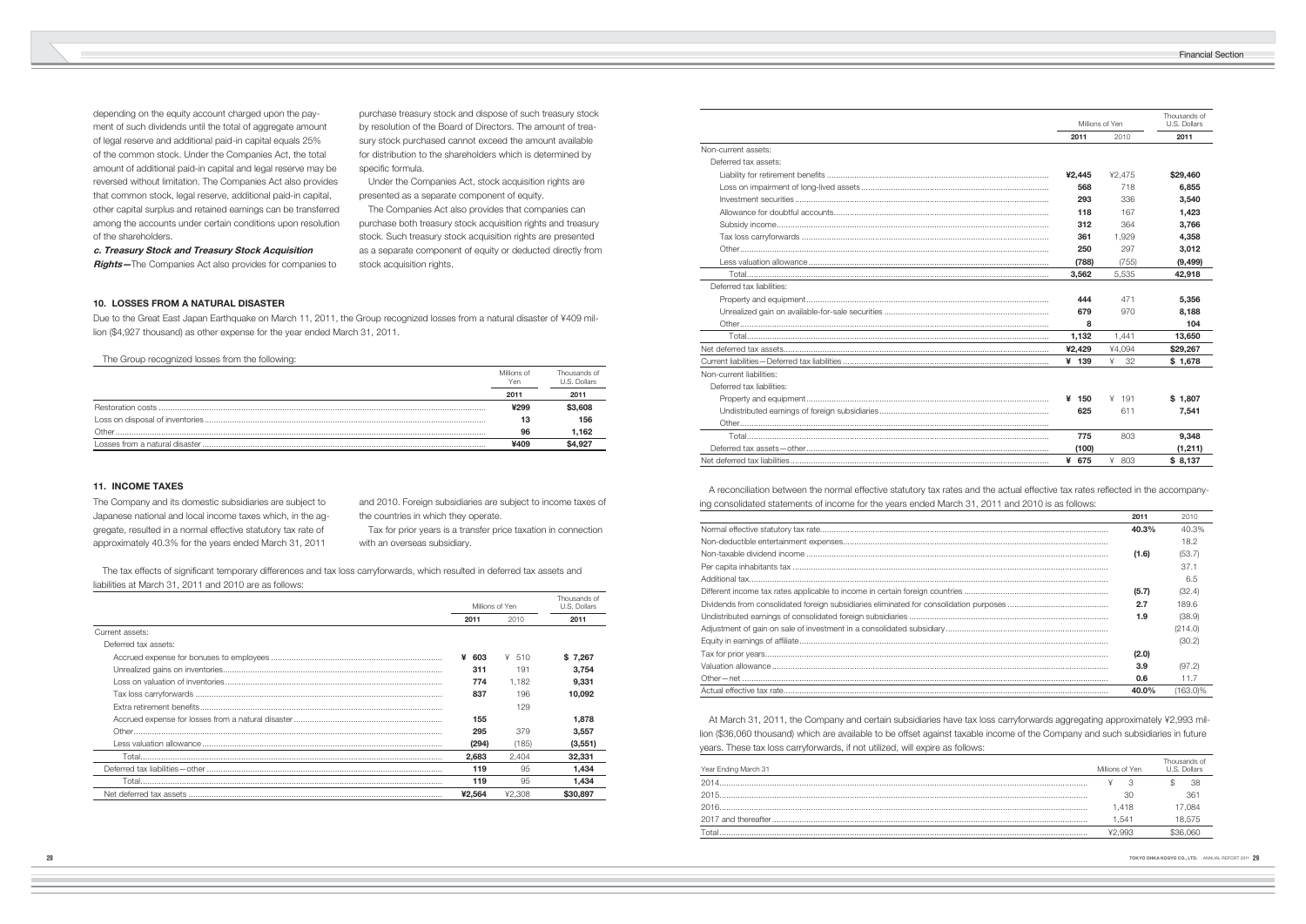depending on the equity account charged upon the payment of such dividends until the total of aggregate amount of legal reserve and additional paid-in capital equals 25% of the common stock. Under the Companies Act, the total amount of additional paid-in capital and legal reserve may be reversed without limitation. The Companies Act also provides that common stock, legal reserve, additional paid-in capital, other capital surplus and retained earnings can be transferred among the accounts under certain conditions upon resolution of the shareholders.

purchase treasury stock and dispose of such treasury stock by resolution of the Board of Directors. The amount of treasury stock purchased cannot exceed the amount available for distribution to the shareholders which is determined by specific formula.

**c. Treasury Stock and Treasury Stock Acquisition Rights—**The Companies Act also provides for companies to

The tax effects of significant temporary differences and tax loss carryforwards, which resulted in deferred tax assets and liabilities at March 31, 2011 and 2010 are as follows:

 Under the Companies Act, stock acquisition rights are presented as a separate component of equity.

 The Companies Act also provides that companies can purchase both treasury stock acquisition rights and treasury stock. Such treasury stock acquisition rights are presented as a separate component of equity or deducted directly from stock acquisition rights.

# **11. INCOME TAXES**

The Company and its domestic subsidiaries are subject to Japanese national and local income taxes which, in the aggregate, resulted in a normal effective statutory tax rate of approximately 40.3% for the years ended March 31, 2011

and 2010. Foreign subsidiaries are subject to income taxes of the countries in which they operate.

 Tax for prior years is a transfer price taxation in connection with an overseas subsidiary.

|                      | Millions of Yen |        | Thousands of<br>U.S. Dollars |
|----------------------|-----------------|--------|------------------------------|
|                      | 2011            | 2010   | 2011                         |
| Current assets:      |                 |        |                              |
| Deferred tax assets: |                 |        |                              |
|                      | ¥<br>603        | ¥ 510  | \$7,267                      |
|                      | 311             | 191    | 3,754                        |
|                      | 774             | 1.182  | 9.331                        |
|                      | 837             | 196    | 10,092                       |
|                      |                 | 129    |                              |
|                      | 155             |        | 1.878                        |
|                      | 295             | 379    | 3.557                        |
|                      | (294)           | (185)  | (3, 551)                     |
|                      | 2,683           | 2,404  | 32,331                       |
|                      | 119             | 95     | 1.434                        |
|                      | 119             | 95     | 1.434                        |
|                      | ¥2.564          | ¥2.308 | \$30,897                     |

# **10. LOSSES FROM A NATURAL DISASTER**

Due to the Great East Japan Earthquake on March 11, 2011, the Group recognized losses from a natural disaster of ¥409 million (\$4,927 thousand) as other expense for the year ended March 31, 2011.

The Group recognized losses from the following:

A reconciliation between the normal effective statutory tax rates and the actual effective tax rates reflected in the accompanying consolidated statements of income for the years ended March 31, 2011 and 2010 is as follows:

|         | Millions of<br>Yen | Thousands of<br>U.S. Dollars |
|---------|--------------------|------------------------------|
|         | $201 -$            | 2011                         |
|         | ¥299               | \$3,608                      |
|         | 13                 | 156                          |
| Other . | 96                 | .162                         |
|         | ¥409               | S4 927                       |

|   | Millions of Yen |          | Thousands of<br>U.S. Dollars |
|---|-----------------|----------|------------------------------|
|   | 2011            | 2010     | 2011                         |
|   |                 |          |                              |
|   |                 |          |                              |
|   | ¥2,445          | ¥2,475   | \$29,460                     |
|   | 568             | 718      | 6,855                        |
|   | 293             | 336      | 3,540                        |
|   | 118             | 167      | 1,423                        |
|   | 312             | 364      | 3,766                        |
|   | 361             | 1,929    | 4,358                        |
|   | 250             | 297      | 3,012                        |
|   | (788)           | (755)    | (9, 499)                     |
|   | 3,562           | 5,535    | 42,918                       |
|   |                 |          |                              |
|   | 444             | 471      | 5,356                        |
|   | 679             | 970      | 8,188                        |
|   | 8               |          | 104                          |
|   | 1,132           | 1,441    | 13,650                       |
|   | ¥2,429          | ¥4,094   | \$29,267                     |
|   | 139<br>¥        | 32<br>¥  | \$1,678                      |
|   |                 |          |                              |
|   |                 |          |                              |
|   | 150<br>¥        | 191<br>¥ | \$1,807                      |
| . | 625             | 611      | 7,541                        |
|   |                 |          |                              |
|   | 775             | 803      | 9,348                        |
|   |                 |          |                              |

| Non-current assets:       |        |         |          |
|---------------------------|--------|---------|----------|
| Deferred tax assets:      |        |         |          |
|                           | ¥2.445 | ¥2.475  | \$29,460 |
|                           | 568    | 718     | 6.855    |
|                           | 293    | 336     | 3.540    |
|                           | 118    | 167     | 1.423    |
|                           | 312    | 364     | 3.766    |
|                           | 361    | 1,929   | 4.358    |
|                           | 250    | 297     | 3,012    |
|                           | (788)  | (755)   | (9, 499) |
|                           | 3,562  | 5,535   | 42,918   |
| Deferred tax liabilities: |        |         |          |
|                           | 444    | 471     | 5,356    |
|                           | 679    | 970     | 8,188    |
|                           | 8      |         | 104      |
|                           | 1,132  | 1,441   | 13,650   |
|                           | ¥2,429 | ¥4,094  | \$29,267 |
|                           | ¥ 139  | ¥<br>32 | \$1,678  |
| Non-current liabilities:  |        |         |          |
| Deferred tax liabilities: |        |         |          |
|                           | ¥ 150  | $¥$ 191 | \$1.807  |
|                           | 625    | 611     | 7,541    |
|                           |        |         |          |
|                           | 775    | 803     | 9.348    |
|                           | (100)  |         | (1,211)  |
|                           | ¥ 675  | ¥ 803   | \$8,137  |

| 2011  | 2010        |
|-------|-------------|
| 40.3% | 40.3%       |
|       | 18.2        |
| (1.6) | (53.7)      |
|       | 37.1        |
|       | 6.5         |
| (5.7) | (32.4)      |
| 2.7   | 189.6       |
| 1.9   | (38.9)      |
|       | (214.0)     |
|       | (30.2)      |
| (2.0) |             |
| 3.9   | (97.2)      |
| 0.6   | 11.7        |
| 40.0% | $(163.0)\%$ |

 At March 31, 2011, the Company and certain subsidiaries have tax loss carryforwards aggregating approximately ¥2,993 million (\$36,060 thousand) which are available to be offset against taxable income of the Company and such subsidiaries in future years. These tax loss carryforwards, if not utilized, will expire as follows:

| Year Ending March 31 | Millions of Yen | Thousands of<br>S Dollars |
|----------------------|-----------------|---------------------------|
| 2014                 |                 | 38                        |
| 2015                 | 30              | 361                       |
| 2016                 | .418            | 084.'                     |
|                      | .541            | 18.575                    |
|                      | -993            |                           |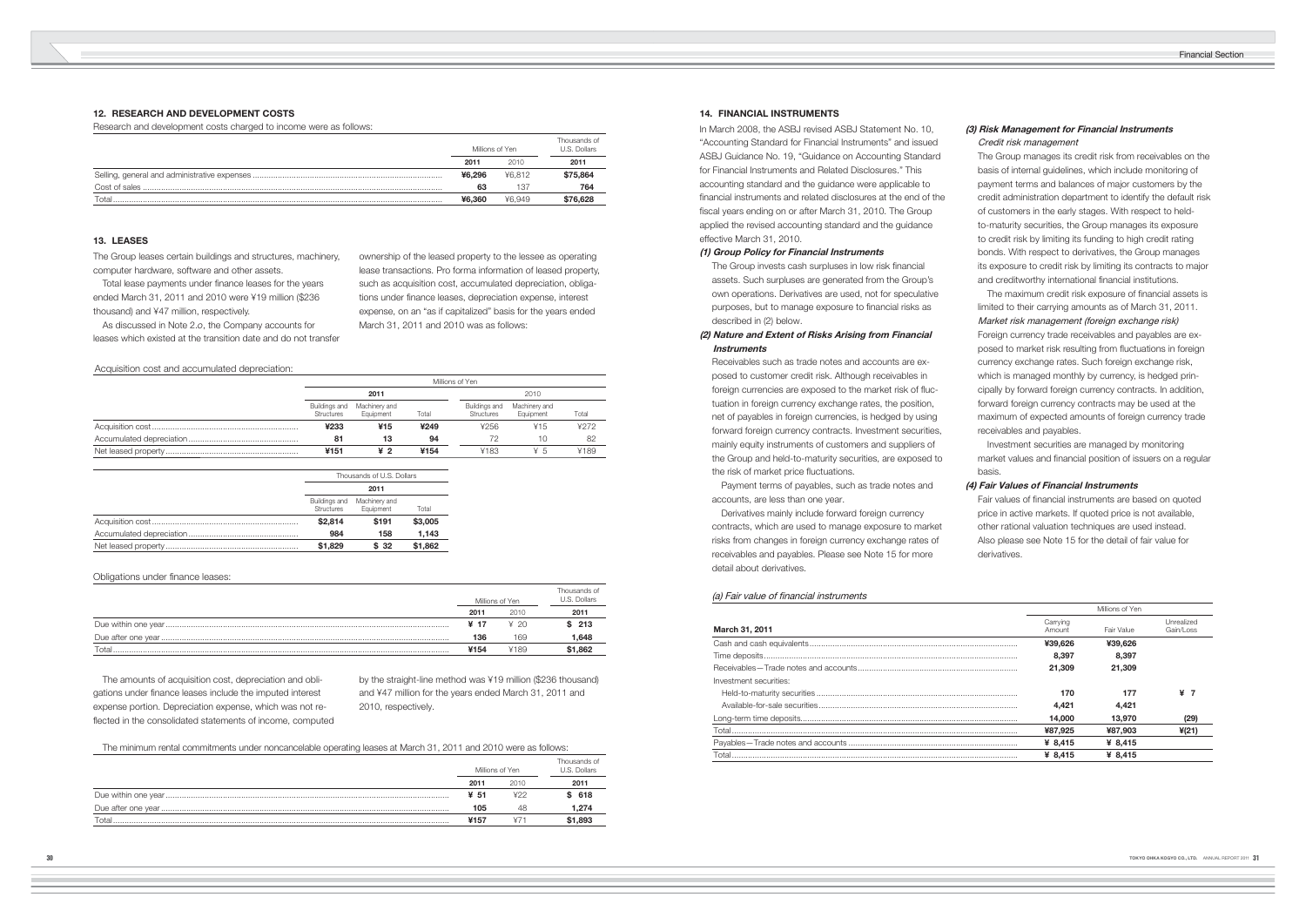# **12. RESEARCH AND DEVELOPMENT COSTS**

Research and development costs charged to income were as follows:

|       | Millions of Yen |        | Thousands of<br>U.S. Dollars |  |
|-------|-----------------|--------|------------------------------|--|
|       | 2011            | 2010   | 2011                         |  |
|       | ¥6.296          | ¥6.812 | \$75,864                     |  |
|       | 63              | 137    | 764                          |  |
| Total | ¥6.360          | ¥6.949 | \$76,628                     |  |

Total lease payments under finance leases for the years ended March 31, 2011 and 2010 were ¥19 million (\$236 thousand) and ¥47 million, respectively.

# **13. LEASES**

The Group leases certain buildings and structures, machinery, computer hardware, software and other assets.

 As discussed in Note 2.*o*, the Company accounts for leases which existed at the transition date and do not transfer ownership of the leased property to the lessee as operating lease transactions. Pro forma information of leased property, such as acquisition cost, accumulated depreciation, obligations under finance leases, depreciation expense, interest expense, on an "as if capitalized" basis for the years ended March 31, 2011 and 2010 was as follows:

Acquisition cost and accumulated depreciation:

| Millions of Yen             |                            |       |                             |                            |       |  |
|-----------------------------|----------------------------|-------|-----------------------------|----------------------------|-------|--|
|                             | 2011                       |       |                             | 2010                       |       |  |
| Buildings and<br>Structures | Machinery and<br>Equipment | Total | Buildings and<br>Structures | Machinery and<br>Equipment | Total |  |
| ¥233                        | ¥15                        | ¥249  | 4256                        | ¥15.                       | ¥272  |  |
| 81                          |                            | 94    |                             |                            | 82    |  |
| ¥151                        | ¥2                         | ¥154  | ¥183                        | ¥5                         | ¥189  |  |

 The amounts of acquisition cost, depreciation and obligations under finance leases include the imputed interest expense portion. Depreciation expense, which was not reflected in the consolidated statements of income, computed

| Thousands of U.S. Dollars   |                            |         |  |
|-----------------------------|----------------------------|---------|--|
| 2011                        |                            |         |  |
| Buildings and<br>Structures | Machinery and<br>Equipment | Total   |  |
| \$2,814                     | \$191                      | \$3,005 |  |
| 984                         | 158                        | 1,143   |  |
| \$1,829                     | \$32                       | \$1.862 |  |

### Obligations under finance leases:

The Group invests cash surpluses in low risk financial assets. Such surpluses are generated from the Group's own operations. Derivatives are used, not for speculative purposes, but to manage exposure to financial risks as described in (2) below.

The minimum rental commitments under noncancelable operating leases at March 31, 2011 and 2010 were as follows:

Receivables such as trade notes and accounts are exposed to customer credit risk. Although receivables in foreign currencies are exposed to the market risk of fluctuation in foreign currency exchange rates, the position, net of payables in foreign currencies, is hedged by using forward foreign currency contracts. Investment securities, mainly equity instruments of customers and suppliers of the Group and held-to-maturity securities, are exposed to the risk of market price fluctuations.

|       |      | Millions of Yen | Thousands of<br>U.S. Dollars |
|-------|------|-----------------|------------------------------|
|       | 2011 | 2010            | 2011                         |
|       | ¥ 51 | ¥22             | \$ 618                       |
|       | 105  | 48              | 1,274                        |
| Total | ¥157 |                 | \$1,893                      |

The Group manages its credit risk from receivables on the basis of internal guidelines, which include monitoring of payment terms and balances of major customers by the credit administration department to identify the default risk of customers in the early stages. With respect to heldto-maturity securities, the Group manages its exposure to credit risk by limiting its funding to high credit rating bonds. With respect to derivatives, the Group manages its exposure to credit risk by limiting its contracts to major and creditworthy international financial institutions.

|       |      | Millions of Yen | Thousands of<br>U.S. Dollars |
|-------|------|-----------------|------------------------------|
|       | 2011 | 2010            | 2011                         |
|       | ¥ 17 | 4.20            | \$213                        |
|       | 136  | 169             | 1.648                        |
| Total | ¥154 | ¥189            | \$1.862                      |

The maximum credit risk exposure of financial assets is limited to their carrying amounts as of March 31, 2011. Market risk management (foreign exchange risk) Foreign currency trade receivables and payables are exposed to market risk resulting from fluctuations in foreign currency exchange rates. Such foreign exchange risk, which is managed monthly by currency, is hedged principally by forward foreign currency contracts. In addition, forward foreign currency contracts may be used at the maximum of expected amounts of foreign currency trade receivables and payables.

Fair values of financial instruments are based on quoted price in active markets. If quoted price is not available, other rational valuation techniques are used instead. Also please see Note 15 for the detail of fair value for derivatives.

by the straight-line method was ¥19 million (\$236 thousand) and ¥47 million for the years ended March 31, 2011 and 2010, respectively.

# **14. FINANCIAL INSTRUMENTS**

In March 2008, the ASBJ revised ASBJ Statement No. 10, "Accounting Standard for Financial Instruments" and issued ASBJ Guidance No. 19, "Guidance on Accounting Standard for Financial Instruments and Related Disclosures." This accounting standard and the guidance were applicable to financial instruments and related disclosures at the end of the fiscal years ending on or after March 31, 2010. The Group applied the revised accounting standard and the guidance effective March 31, 2010.

### **(1) Group Policy for Financial Instruments**

# **(2) Nature and Extent of Risks Arising from Financial Instruments**

 Payment terms of payables, such as trade notes and accounts, are less than one year.

 Derivatives mainly include forward foreign currency contracts, which are used to manage exposure to market risks from changes in foreign currency exchange rates of receivables and payables. Please see Note 15 for more detail about derivatives.

# (a) Fair value of financial instruments

# **(3) Risk Management for Financial Instruments** Credit risk management

 Investment securities are managed by monitoring market values and financial position of issuers on a regular basis.

# **(4) Fair Values of Financial Instruments**

|                        |                    | Millions of Yen |                         |
|------------------------|--------------------|-----------------|-------------------------|
| March 31, 2011         | Carrying<br>Amount | Fair Value      | Unrealized<br>Gain/Loss |
|                        | ¥39.626            | ¥39,626         |                         |
|                        | 8.397              | 8.397           |                         |
|                        | 21,309             | 21,309          |                         |
| Investment securities: |                    |                 |                         |
|                        | 170                | 177             | ¥                       |
|                        | 4.421              | 4.421           |                         |
|                        | 14,000             | 13.970          | (29)                    |
|                        | ¥87,925            | ¥87,903         | $*(21)$                 |
|                        | ¥ $8.415$          | ¥ 8,415         |                         |
|                        | ¥ $8.415$          | ¥ $8.415$       |                         |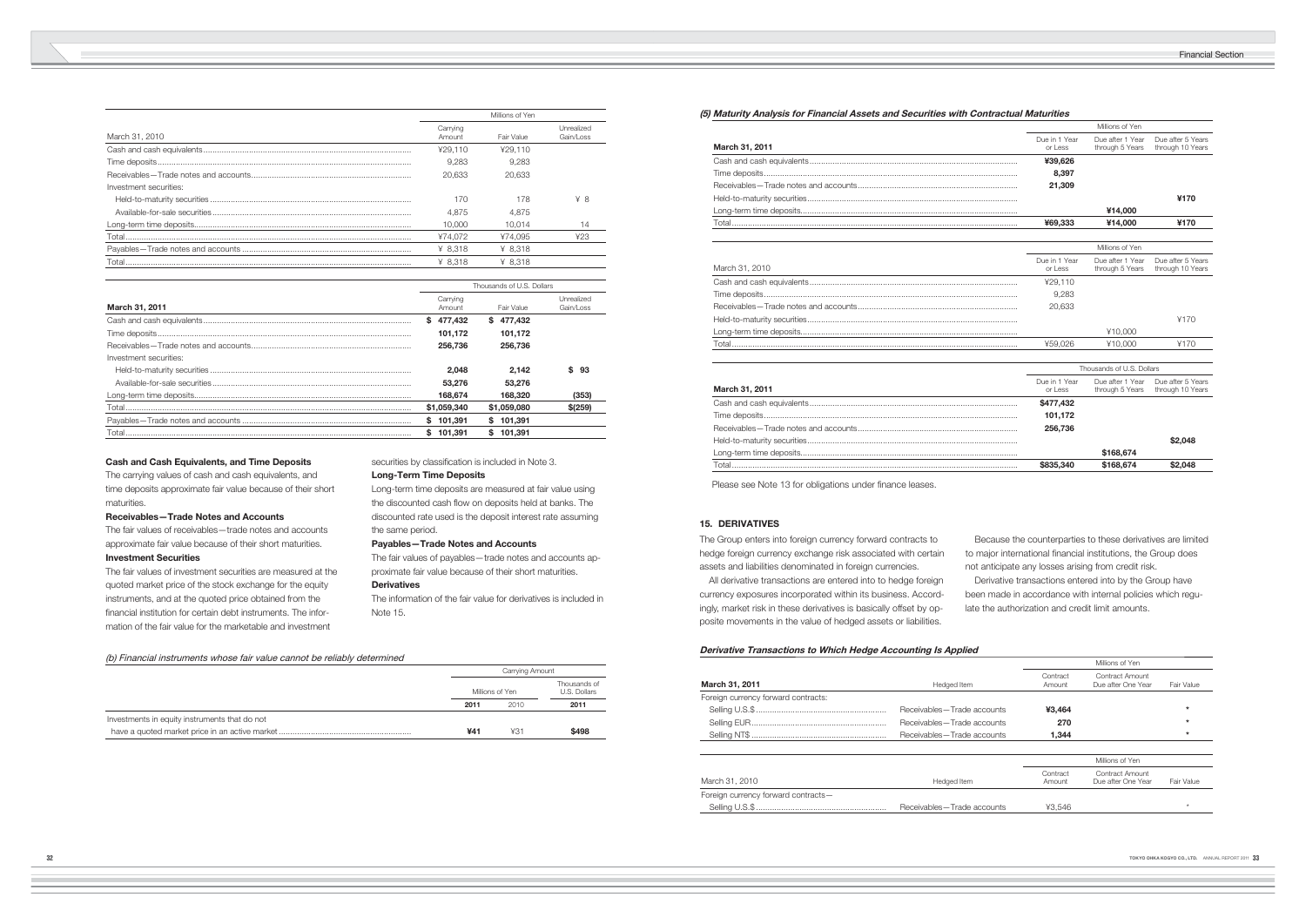|                        | Millions of Yen    |            |                         |
|------------------------|--------------------|------------|-------------------------|
| March 31, 2010         | Carrying<br>Amount | Fair Value | Unrealized<br>Gain/Loss |
|                        | 429.110            | ¥29.110    |                         |
|                        | 9.283              | 9.283      |                         |
|                        | 20.633             | 20.633     |                         |
| Investment securities: |                    |            |                         |
|                        | 170                | 178        | ¥8                      |
|                        | 4.875              | 4.875      |                         |
|                        | 10.000             | 10.014     | 14                      |
|                        | ¥74.072            | ¥74.095    | 423                     |
|                        | ¥ 8.318            | ¥ $8.318$  |                         |
|                        | ¥ 8.318            | ¥ $8.318$  |                         |

|                        | Thousands of U.S. Dollars |              |                         |  |
|------------------------|---------------------------|--------------|-------------------------|--|
| <b>March 31, 2011</b>  | Carrying<br>Amount        | Fair Value   | Unrealized<br>Gain/Loss |  |
|                        | 477.432<br>s.             | 477.432<br>s |                         |  |
|                        | 101.172                   | 101.172      |                         |  |
|                        | 256,736                   | 256,736      |                         |  |
| Investment securities: |                           |              |                         |  |
|                        | 2.048                     | 2.142        | \$<br>93                |  |
|                        | 53,276                    | 53,276       |                         |  |
|                        | 168.674                   | 168,320      | (353)                   |  |
|                        | \$1,059,340               | \$1,059,080  | $$$ (259)               |  |
|                        | \$101,391                 | \$101.391    |                         |  |
| Total                  | 101.391                   | 101.391<br>S |                         |  |

# **Cash and Cash Equivalents, and Time Deposits**

The carrying values of cash and cash equivalents, and time deposits approximate fair value because of their short maturities.

#### **Receivables—Trade Notes and Accounts**

The fair values of receivables—trade notes and accounts approximate fair value because of their short maturities. **Investment Securities**

The fair values of investment securities are measured at the quoted market price of the stock exchange for the equity instruments, and at the quoted price obtained from the financial institution for certain debt instruments. The information of the fair value for the marketable and investment

securities by classification is included in Note 3.

# **Long-Term Time Deposits**

Long-term time deposits are measured at fair value using the discounted cash flow on deposits held at banks. The discounted rate used is the deposit interest rate assuming the same period.

### **Payables—Trade Notes and Accounts**

The fair values of payables—trade notes and accounts approximate fair value because of their short maturities.

### **Derivatives**

The information of the fair value for derivatives is included in Note 15.

### (b) Financial instruments whose fair value cannot be reliably determined

|                                               | Carrying Amount |      |                              |
|-----------------------------------------------|-----------------|------|------------------------------|
|                                               | Millions of Yen |      | Thousands of<br>U.S. Dollars |
|                                               | 2011            | 2010 | 2011                         |
| Investments in equity instruments that do not |                 |      |                              |
|                                               | ¥41             | ¥31  | \$498                        |

# **(5) Maturity Analysis for Financial Assets and Securities with Contractual Maturities**

| March 31, 2011 | Due in 1 Year<br>$or$ l ess | Due after 1 Year<br>through 5 Years through 10 Y | Due after 5 Y |
|----------------|-----------------------------|--------------------------------------------------|---------------|
|                | ¥39,626                     |                                                  |               |
|                | 8.397                       |                                                  |               |
|                | 21.309                      |                                                  |               |
|                |                             |                                                  | ¥170          |
|                |                             | ¥14.000                                          |               |
|                | ¥69,333                     | ¥14.000                                          | ¥170          |

|   |                          | Millions of Yen                     |                                       |
|---|--------------------------|-------------------------------------|---------------------------------------|
|   | Due in 1 Year<br>or Less | Due after 1 Year<br>through 5 Years | Due after 5 Years<br>through 10 Years |
| . | ¥39,626                  |                                     |                                       |
| . | 8,397                    |                                     |                                       |
|   | 21,309                   |                                     |                                       |
|   |                          |                                     | ¥170                                  |
|   |                          | ¥14,000                             |                                       |
| . | ¥69,333                  | ¥14,000                             | ¥170                                  |
|   |                          |                                     |                                       |
|   |                          | Millions of Yen                     |                                       |
|   | Due in 1 Year<br>or Less | Due after 1 Year<br>through 5 Years | Due after 5 Years<br>through 10 Years |
| . | ¥29,110                  |                                     |                                       |
|   | 9,283                    |                                     |                                       |
|   | 20,633                   |                                     |                                       |
| . |                          |                                     | ¥170                                  |
|   |                          | ¥10,000                             |                                       |
| . | ¥59,026                  | ¥10,000                             | ¥170                                  |
|   |                          |                                     |                                       |
|   |                          | Thousands of U.S. Dollars           |                                       |
|   | Due in 1 Year<br>or Less | Due after 1 Year<br>through 5 Years | Due after 5 Years<br>through 10 Years |
| . | \$477,432                |                                     |                                       |
| . | 101,172                  |                                     |                                       |
| . | 256,736                  |                                     |                                       |
|   |                          |                                     | \$2,048                               |
| . |                          | \$168,674                           |                                       |
|   |                          |                                     |                                       |

| March 31, 2010 | Due III Tear<br>or Less | Due allei i real Due alleio r<br>through 5 Years through 10 Y |      |
|----------------|-------------------------|---------------------------------------------------------------|------|
|                | ¥29.110                 |                                                               |      |
|                | 9.283                   |                                                               |      |
|                | 20.633                  |                                                               |      |
|                |                         |                                                               | 4170 |
|                |                         | ¥10.000                                                       |      |
| Total          | ¥59.026                 | ¥10.000                                                       | 4170 |
|                |                         |                                                               |      |

# **March 31, 2011**

|       | \$477.432 |           |            |
|-------|-----------|-----------|------------|
|       | 101.172   |           |            |
|       | 256,736   |           |            |
|       |           |           | S2.048     |
|       |           | \$168,674 |            |
| Total | \$835.340 | \$168,674 | <b>048</b> |

Please see Note 13 for obligations under finance leases.

### **Derivative Transactions to Which Hedge Accounting Is Applied**

|                                     |                              |                    | Millions of Yen                       |            |
|-------------------------------------|------------------------------|--------------------|---------------------------------------|------------|
| March 31, 2011                      | Hedged Item                  | Contract<br>Amount | Contract Amount<br>Due after One Year | Fair Value |
| Foreign currency forward contracts: |                              |                    |                                       |            |
|                                     | Receivables – Trade accounts | ¥3.464             |                                       | $\star$    |
|                                     | Receivables – Trade accounts | 270                |                                       |            |
|                                     | Receivables-Trade accounts   | 1.344              |                                       | $\star$    |
|                                     |                              |                    |                                       |            |
|                                     |                              |                    | Millions of Yen                       |            |
| March 31, 2010                      | Hedged Item                  | Contract<br>Amount | Contract Amount<br>Due after One Year | Fair Value |
| Foreign currency forward contracts- |                              |                    |                                       |            |
|                                     | Receivables-Trade accounts   | ¥3.546             |                                       | ÷          |
|                                     |                              |                    |                                       |            |

|                                 |                              |                    | Millions of Yen                       |            |  |
|---------------------------------|------------------------------|--------------------|---------------------------------------|------------|--|
| ch 31, 2011                     | Hedged Item                  | Contract<br>Amount | Contract Amount<br>Due after One Year | Fair Value |  |
| ign currency forward contracts: |                              |                    |                                       |            |  |
|                                 | Receivables – Trade accounts | ¥3,464             |                                       | $\star$    |  |
|                                 | Receivables-Trade accounts   | 270                |                                       | $\star$    |  |
|                                 | Receivables-Trade accounts   | 1,344              |                                       | $\star$    |  |
|                                 |                              |                    |                                       |            |  |
|                                 |                              |                    | Millions of Yen                       |            |  |
| ch 31, 2010                     | Hedged Item                  | Contract<br>Amount | Contract Amount<br>Due after One Year | Fair Value |  |
| ign currency forward contracts- |                              |                    |                                       |            |  |
|                                 | Receivables-Trade accounts   | ¥3.546             |                                       | $\star$    |  |
|                                 |                              |                    |                                       |            |  |

# **15. DERIVATIVES**

The Group enters into foreign currency forward contracts to hedge foreign currency exchange risk associated with certain assets and liabilities denominated in foreign currencies.

 All derivative transactions are entered into to hedge foreign currency exposures incorporated within its business. Accordingly, market risk in these derivatives is basically offset by opposite movements in the value of hedged assets or liabilities.

 Because the counterparties to these derivatives are limited to major international financial institutions, the Group does not anticipate any losses arising from credit risk.

 Derivative transactions entered into by the Group have been made in accordance with internal policies which regulate the authorization and credit limit amounts.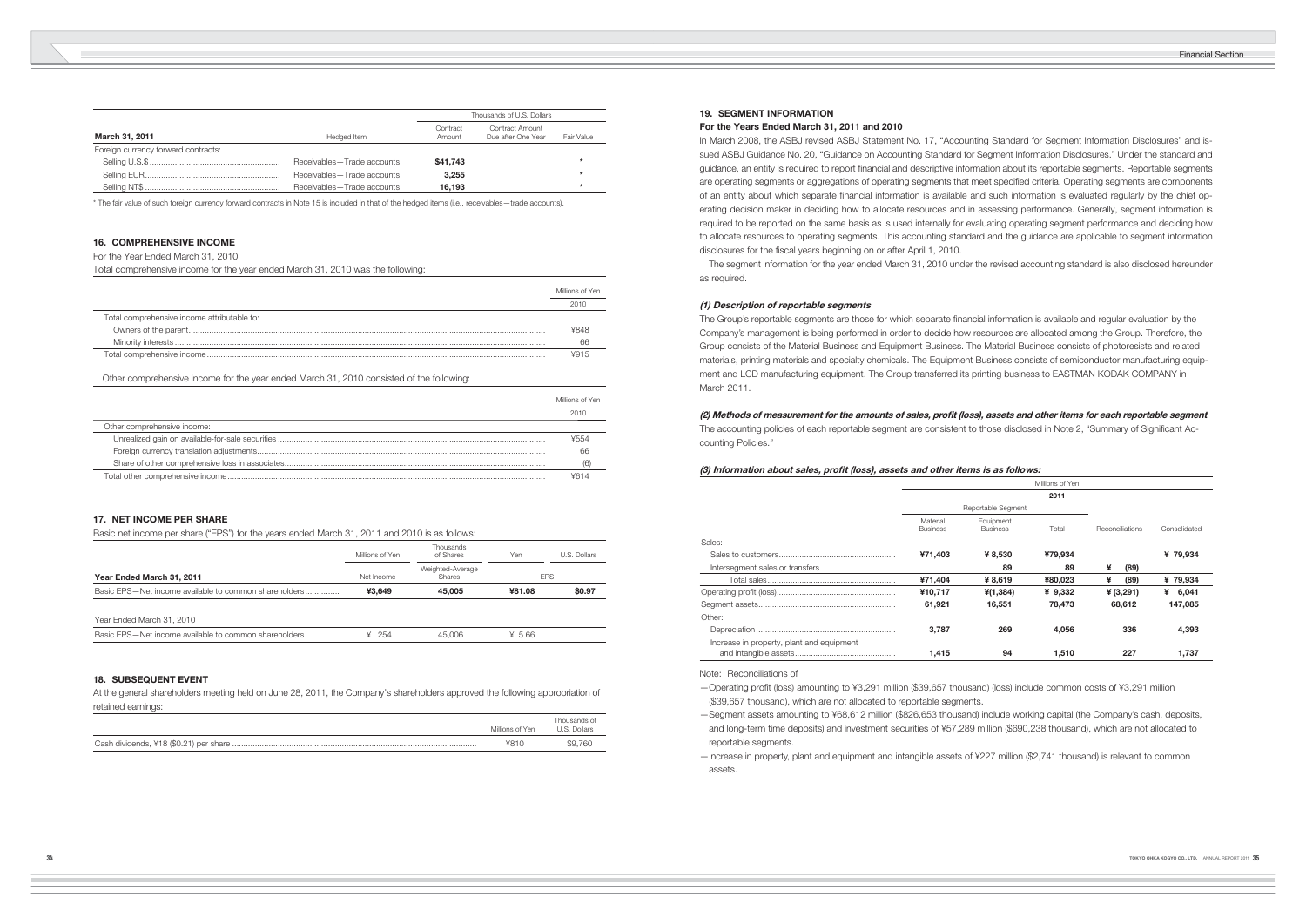|                                     |                            | Thousands of U.S. Dollars |                                              |            |
|-------------------------------------|----------------------------|---------------------------|----------------------------------------------|------------|
| March 31, 2011                      | Hedged Item                | Contract<br>Amount        | <b>Contract Amount</b><br>Due after One Year | Fair Value |
| Foreign currency forward contracts: |                            |                           |                                              |            |
|                                     | Receivables-Trade accounts | \$41,743                  |                                              |            |
|                                     | Receivables-Trade accounts | 3,255                     |                                              |            |
|                                     | Receivables-Trade accounts | 16.193                    |                                              | $\star$    |

\* The fair value of such foreign currency forward contracts in Note 15 is included in that of the hedged items (i.e., receivables—trade accounts).

# **18. SUBSEQUENT EVENT**

At the general shareholders meeting held on June 28, 2011, the Company's shareholders approved the following appropriation of retained earnings:

| Millions of Yen | Thousands of<br>U.S. Dollars |
|-----------------|------------------------------|
| ¥810            | \$9.760                      |

# **17. NET INCOME PER SHARE**

Basic net income per share ("EPS") for the years ended March 31, 2011 and 2010 is as follows:

|                                                       | Millions of Yen | Thousands<br>of Shares            | Yen        | U.S. Dollars |
|-------------------------------------------------------|-----------------|-----------------------------------|------------|--------------|
| Year Ended March 31, 2011                             | Net Income      | Weighted-Average<br><b>Shares</b> | <b>FPS</b> |              |
| Basic EPS-Net income available to common shareholders | ¥3.649          | 45,005                            | ¥81.08     | \$0.97       |
| Year Ended March 31, 2010                             |                 |                                   |            |              |
| Basic EPS-Net income available to common shareholders | ¥ 254           | 45,006                            | ¥ 5.66     |              |

# **16. COMPREHENSIVE INCOME**

For the Year Ended March 31, 2010

In March 2008, the ASBJ revised ASBJ Statement No. 17, "Accounting Standard for Segment Information Disclosures" and issued ASBJ Guidance No. 20, "Guidance on Accounting Standard for Segment Information Disclosures." Under the standard and guidance, an entity is required to report financial and descriptive information about its reportable segments. Reportable segments are operating segments or aggregations of operating segments that meet specified criteria. Operating segments are components of an entity about which separate financial information is available and such information is evaluated regularly by the chief operating decision maker in deciding how to allocate resources and in assessing performance. Generally, segment information is required to be reported on the same basis as is used internally for evaluating operating segment performance and deciding how to allocate resources to operating segments. This accounting standard and the guidance are applicable to segment information disclosures for the fiscal years beginning on or after April 1, 2010.

Total comprehensive income for the year ended March 31, 2010 was the following:

|                                             | Millions of Yen |
|---------------------------------------------|-----------------|
|                                             |                 |
| Total comprehensive income attributable to: |                 |
|                                             | ¥848            |
|                                             | 66              |
|                                             | 4915            |
|                                             |                 |

Other comprehensive income for the year ended March 31, 2010 consisted of the following:

The Group's reportable segments are those for which separate financial information is available and regular evaluation by the Company's management is being performed in order to decide how resources are allocated among the Group. Therefore, the Group consists of the Material Business and Equipment Business. The Material Business consists of photoresists and related materials, printing materials and specialty chemicals. The Equipment Business consists of semiconductor manufacturing equipment and LCD manufacturing equipment. The Group transferred its printing business to EASTMAN KODAK COMPANY in March 2011.

## (2) Methods of measurement for the amounts of sales, profit (loss), assets and other items for each reportable segment

The accounting policies of each reportable segment are consistent to those disclosed in Note 2, "Summary of Significant Accounting Policies."

|                             | Millions of Yen |
|-----------------------------|-----------------|
|                             | 2010            |
| Other comprehensive income: |                 |
|                             | ¥554            |
|                             | 66              |
|                             | (6)             |
|                             |                 |

# **19. SEGMENT INFORMATION**

# **For the Years Ended March 31, 2011 and 2010**

 The segment information for the year ended March 31, 2010 under the revised accounting standard is also disclosed hereunder as required.

### **(1) Description of reportable segments**

| (3) Information about sales, profit (loss), assets and other items is as follows: |                             |                              |                 |                 |              |
|-----------------------------------------------------------------------------------|-----------------------------|------------------------------|-----------------|-----------------|--------------|
|                                                                                   |                             |                              | Millions of Yen |                 |              |
|                                                                                   |                             |                              | 2011            |                 |              |
|                                                                                   |                             | Reportable Segment           |                 |                 |              |
|                                                                                   | Material<br><b>Business</b> | Equipment<br><b>Business</b> | Total           | Reconciliations | Consolidated |
| Sales:                                                                            |                             |                              |                 |                 |              |
|                                                                                   | ¥71,403                     | ¥ 8.530                      | ¥79,934         |                 | ¥ 79,934     |
|                                                                                   |                             | 89                           | 89              | ¥<br>(89)       |              |
|                                                                                   | ¥71,404                     | ¥8,619                       | ¥80,023         | ¥<br>(89)       | ¥ 79,934     |
|                                                                                   | ¥10,717                     | ¥(1,384)                     | ¥ 9,332         | ¥ $(3, 291)$    | 6,041<br>¥   |
|                                                                                   | 61,921                      | 16.551                       | 78.473          | 68.612          | 147,085      |
| Other:                                                                            |                             |                              |                 |                 |              |
|                                                                                   | 3.787                       | 269                          | 4.056           | 336             | 4,393        |
| Increase in property, plant and equipment                                         | 1,415                       | 94                           | 1,510           | 227             | 1,737        |

Note: Reconciliations of

— Operating profi t (loss) amounting to ¥3,291 million (\$39,657 thousand) (loss) include common costs of ¥3,291 million (\$39,657 thousand), which are not allocated to reportable segments.

— Segment assets amounting to ¥68,612 million (\$826,653 thousand) include working capital (the Company's cash, deposits, and long-term time deposits) and investment securities of ¥57,289 million (\$690,238 thousand), which are not allocated to reportable segments.

— Increase in property, plant and equipment and intangible assets of ¥227 million (\$2,741 thousand) is relevant to common assets.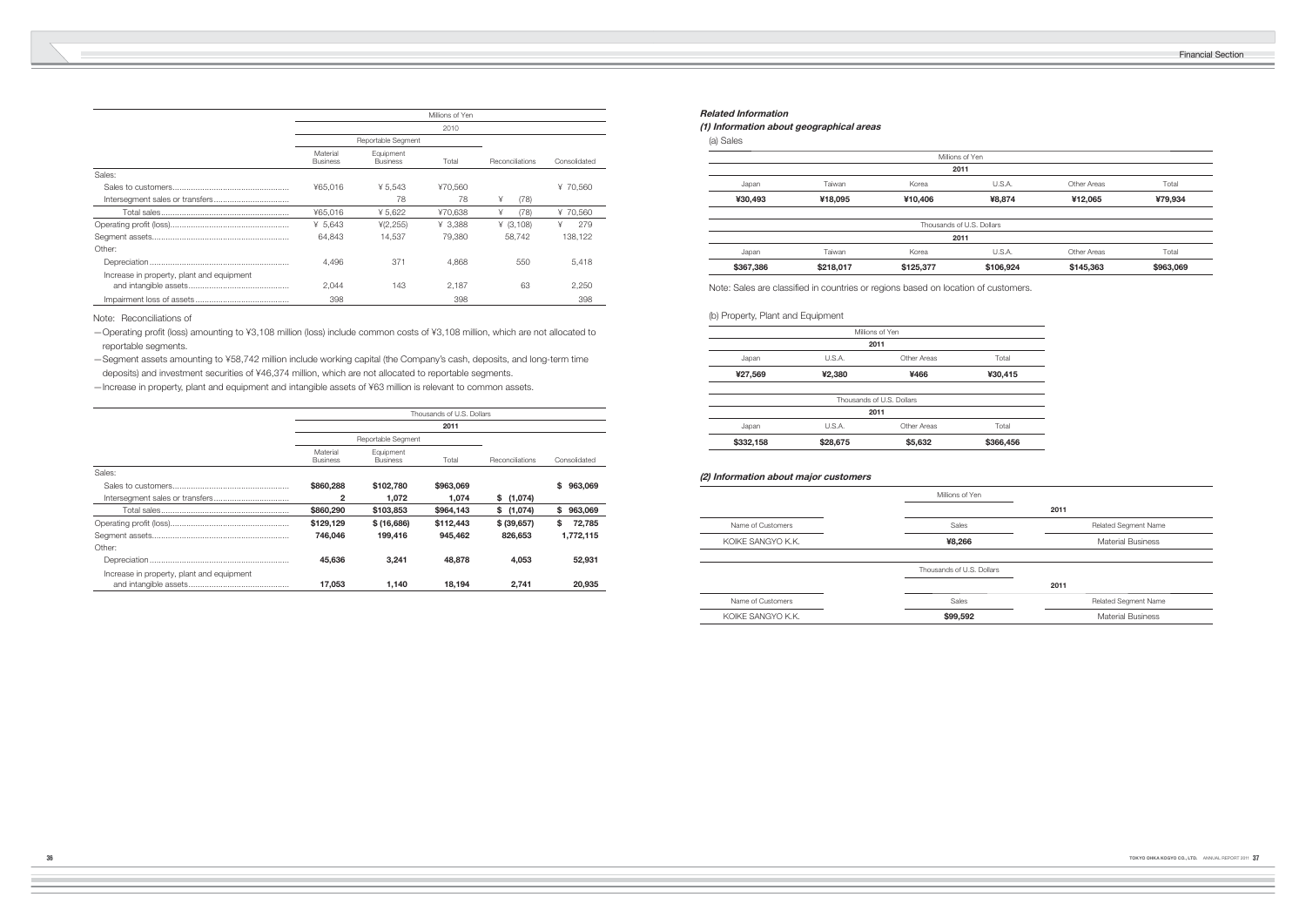Financial Section

|                                           |                             |                              | Millions of Yen |                 |              |  |  |
|-------------------------------------------|-----------------------------|------------------------------|-----------------|-----------------|--------------|--|--|
|                                           | 2010                        |                              |                 |                 |              |  |  |
|                                           |                             | Reportable Segment           |                 |                 |              |  |  |
|                                           | Material<br><b>Business</b> | Equipment<br><b>Business</b> | Total           | Reconciliations | Consolidated |  |  |
| Sales:                                    |                             |                              |                 |                 |              |  |  |
|                                           | ¥65,016                     | ¥ 5.543                      | ¥70,560         |                 | ¥ 70,560     |  |  |
|                                           |                             | 78                           | 78              | ¥<br>(78)       |              |  |  |
|                                           | ¥65,016                     | ¥ 5,622                      | ¥70,638         | ¥<br>(78)       | ¥ 70,560     |  |  |
|                                           | ¥ $5,643$                   | (2, 255)                     | ¥ 3.388         | (3,108)         | ¥<br>279     |  |  |
|                                           | 64.843                      | 14.537                       | 79,380          | 58.742          | 138,122      |  |  |
| Other:                                    |                             |                              |                 |                 |              |  |  |
|                                           | 4,496                       | 371                          | 4,868           | 550             | 5,418        |  |  |
| Increase in property, plant and equipment | 2.044                       | 143                          | 2.187           | 63              | 2,250        |  |  |
|                                           | 398                         |                              | 398             |                 | 398          |  |  |

-Operating profit (loss) amounting to ¥3,108 million (loss) include common costs of ¥3,108 million, which are not allocated to reportable segments.

Note: Reconciliations of

— Segment assets amounting to ¥58,742 million include working capital (the Company's cash, deposits, and long-term time deposits) and investment securities of ¥46,374 million, which are not allocated to reportable segments.

—Increase in property, plant and equipment and intangible assets of ¥63 million is relevant to common assets.

|                                           | Thousands of U.S. Dollars   |                              |           |                 |               |  |
|-------------------------------------------|-----------------------------|------------------------------|-----------|-----------------|---------------|--|
|                                           | 2011                        |                              |           |                 |               |  |
|                                           |                             | Reportable Segment           |           |                 |               |  |
|                                           | Material<br><b>Business</b> | Equipment<br><b>Business</b> | Total     | Reconciliations | Consolidated  |  |
| Sales:                                    |                             |                              |           |                 |               |  |
|                                           | \$860,288                   | \$102.780                    | \$963,069 |                 | \$<br>963.069 |  |
|                                           | 2                           | 1.072                        | 1.074     | \$(1,074)       |               |  |
|                                           | \$860,290                   | \$103,853                    | \$964,143 | \$(1,074)       | 963,069<br>s. |  |
|                                           | \$129,129                   | \$(16,686)                   | \$112,443 | \$ (39,657)     | S<br>72,785   |  |
|                                           | 746.046                     | 199.416                      | 945,462   | 826,653         | 1,772,115     |  |
| Other:                                    |                             |                              |           |                 |               |  |
|                                           | 45,636                      | 3.241                        | 48,878    | 4.053           | 52,931        |  |
| Increase in property, plant and equipment | 17,053                      | 1.140                        | 18,194    | 2.741           | 20,935        |  |

# **Related Information**

# **(1) Information about geographical areas** (a) Sales

| \$367,386 | \$218,017 | \$125,377            |      |
|-----------|-----------|----------------------|------|
| Japan     | Taiwan    | Korea                |      |
|           |           |                      | 2011 |
|           |           | Thousands of U.S. Do |      |
|           |           |                      |      |
| ¥30,493   | ¥18,095   | ¥10,406              |      |
| $-$       | .         | .                    |      |

|         |        | Millions of Yen |  |
|---------|--------|-----------------|--|
|         |        | 2011            |  |
| Japan   | U.S.A. | Other Areas     |  |
| ¥27,569 | ¥2,380 | ¥466            |  |
|         |        |                 |  |

|                                                                                    |           |                           | Millions of Yen           |                          |           |
|------------------------------------------------------------------------------------|-----------|---------------------------|---------------------------|--------------------------|-----------|
|                                                                                    |           |                           | 2011                      |                          |           |
| Japan                                                                              | Taiwan    | Korea                     | U.S.A.                    | Other Areas              | Total     |
| ¥30,493                                                                            | ¥18,095   | ¥10,406                   | ¥8,874                    | ¥12,065                  | ¥79,934   |
|                                                                                    |           |                           | Thousands of U.S. Dollars |                          |           |
|                                                                                    |           |                           | 2011                      |                          |           |
| Japan                                                                              | Taiwan    | Korea                     | U.S.A.                    | Other Areas              | Total     |
| \$367,386                                                                          | \$218,017 | \$125,377                 | \$106,924                 | \$145,363                | \$963,069 |
| Note: Sales are classified in countries or regions based on location of customers. |           |                           |                           |                          |           |
| (b) Property, Plant and Equipment                                                  |           |                           |                           |                          |           |
|                                                                                    |           | Millions of Yen           |                           |                          |           |
|                                                                                    |           | 2011                      |                           |                          |           |
| Japan                                                                              | U.S.A.    | Other Areas               | Total                     |                          |           |
| ¥27,569                                                                            | ¥2,380    | ¥466                      | ¥30,415                   |                          |           |
|                                                                                    |           | Thousands of U.S. Dollars |                           |                          |           |
|                                                                                    |           | 2011                      |                           |                          |           |
| Japan                                                                              | U.S.A.    | Other Areas               | Total                     |                          |           |
| \$332,158                                                                          | \$28,675  | \$5,632                   | \$366,456                 |                          |           |
| (2) Information about major customers                                              |           | Millions of Yen           |                           |                          |           |
|                                                                                    |           |                           |                           | 2011                     |           |
| Name of Customers                                                                  |           | Sales                     |                           | Related Segment Name     |           |
| KOIKE SANGYO K.K.                                                                  |           | ¥8,266                    |                           | <b>Material Business</b> |           |
|                                                                                    |           | Thousands of U.S. Dollars |                           |                          |           |
|                                                                                    |           |                           |                           | 2011                     |           |
| Name of Customers                                                                  |           | Sales                     |                           | Related Segment Name     |           |
| KOIKE SANGYO K.K.                                                                  |           | \$99,592                  |                           | <b>Material Business</b> |           |

| \$28,675 | \$5,632     |                                   |
|----------|-------------|-----------------------------------|
| U.S.A.   | Other Areas |                                   |
|          |             |                                   |
|          |             |                                   |
|          |             | Thousands of U.S. Dollars<br>2011 |

|                   | Millions of Yen        |
|-------------------|------------------------|
|                   |                        |
| Name of Customers | Sales                  |
| KOIKE SANGYO K.K. | ¥8,266                 |
|                   |                        |
|                   | Thousands of LLS Dolla |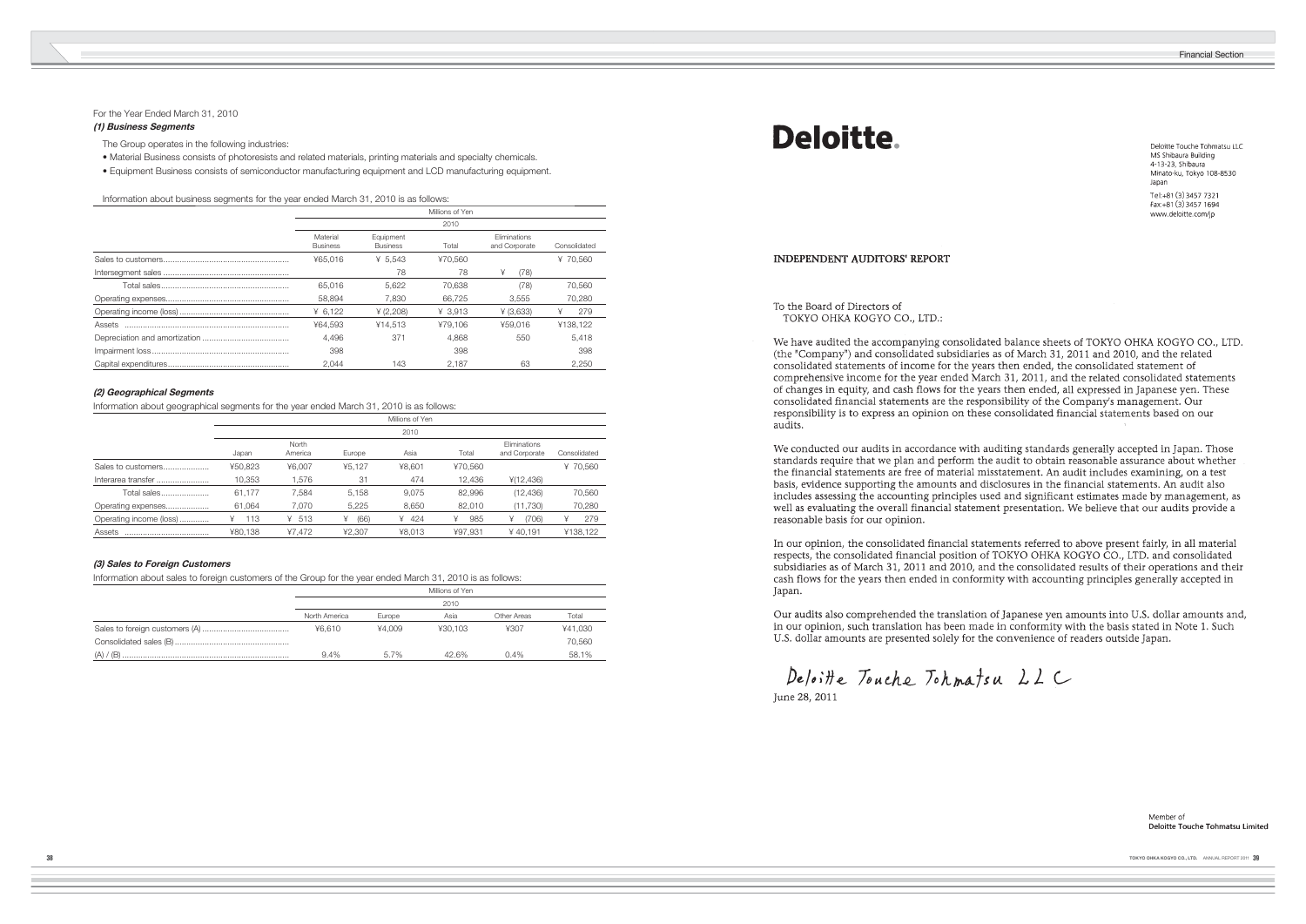Financial Section

Deloitte Touche Tohmatsu LLC MS Shibaura Building 4-13-23, Shibaura Minato-ku, Tokyo 108-8530 Japan Tel:+81 (3) 3457 7321

 $Fax + 81(3)34571694$ www.deloitte.com/jp

Member of **Deloitte Touche Tohmatsu Limited** 

# For the Year Ended March 31, 2010

# **(1) Business Segments**

The Group operates in the following industries:

- Material Business consists of photoresists and related materials, printing materials and specialty chemicals.
- Equipment Business consists of semiconductor manufacturing equipment and LCD manufacturing equipment.

Information about business segments for the year ended March 31, 2010 is as follows:

| Millions of Yen             |                              |           |                               |              |  |
|-----------------------------|------------------------------|-----------|-------------------------------|--------------|--|
|                             |                              | 2010      |                               |              |  |
| Material<br><b>Business</b> | Equipment<br><b>Business</b> | Total     | Eliminations<br>and Corporate | Consolidated |  |
| ¥65.016                     | ¥ $5.543$                    | ¥70.560   |                               | ¥ 70.560     |  |
|                             | 78                           | 78        | ¥<br>(78)                     |              |  |
| 65.016                      | 5,622                        | 70.638    | (78)                          | 70,560       |  |
| 58.894                      | 7.830                        | 66.725    | 3.555                         | 70.280       |  |
| ¥ $6,122$                   | ¥ (2,208)                    | $¥$ 3.913 | ¥ (3,633)                     | 279          |  |
| ¥64.593                     | ¥14.513                      | ¥79.106   | ¥59.016                       | ¥138.122     |  |
| 4.496                       | 371                          | 4.868     | 550                           | 5.418        |  |
| 398                         |                              | 398       |                               | 398          |  |
| 2.044                       | 143                          | 2.187     | 63                            | 2.250        |  |

# **(2) Geographical Segments**

Information about geographical segments for the year ended March 31, 2010 is as follows:

|                         |         |                  |           | Millions of Yen |          |                               |              |
|-------------------------|---------|------------------|-----------|-----------------|----------|-------------------------------|--------------|
|                         |         |                  |           | 2010            |          |                               |              |
|                         | Japan   | North<br>America | Europe    | Asia            | Total    | Fliminations<br>and Corporate | Consolidated |
| Sales to customers      | ¥50,823 | ¥6.007           | 45.127    | ¥8.601          | ¥70.560  |                               | ¥ 70.560     |
| Interarea transfer      | 10,353  | 1.576            | 31        | 474             | 12,436   | ¥(12,436)                     |              |
| Total sales             | 61.177  | 7.584            | 5.158     | 9.075           | 82.996   | (12, 436)                     | 70,560       |
| Operating expenses      | 61.064  | 7.070            | 5.225     | 8.650           | 82.010   | (11,730)                      | 70,280       |
| Operating income (loss) | 113     | 513<br>¥         | (66)<br>¥ | 424<br>¥        | 985<br>¥ | (706)<br>¥                    | 279<br>¥     |
| Assets                  | ¥80.138 | ¥7.472           | ¥2.307    | ¥8.013          | ¥97.931  | ¥40.191                       | ¥138.122     |

### **(3) Sales to Foreign Customers**

Information about sales to foreign customers of the Group for the year ended March 31, 2010 is as follows:

|               |        | Millions of Yen |             |         |  |  |
|---------------|--------|-----------------|-------------|---------|--|--|
| 2010          |        |                 |             |         |  |  |
| North America | Europe | Asia            | Other Areas | Total   |  |  |
| 46.610        | ¥4.009 | ¥30.103         | ¥307        | ¥41.030 |  |  |
|               |        |                 |             | 70.560  |  |  |
| 9.4%          | 5.7%   | 42.6%           | $0.4\%$     | 58.1%   |  |  |

# **Deloitte**

# **INDEPENDENT AUDITORS' REPORT**

# To the Board of Directors of TOKYO OHKA KOGYO CO., LTD.:

We have audited the accompanying consolidated balance sheets of TOKYO OHKA KOGYO CO., LTD. (the "Company") and consolidated subsidiaries as of March 31, 2011 and 2010, and the related consolidated statements of income for the years then ended, the consolidated statement of comprehensive income for the year ended March 31, 2011, and the related consolidated statements of changes in equity, and cash flows for the years then ended, all expressed in Japanese yen. These consolidated financial statements are the responsibility of the Company's management. Our responsibility is to express an opinion on these consolidated financial statements based on our audits.

We conducted our audits in accordance with auditing standards generally accepted in Japan. Those standards require that we plan and perform the audit to obtain reasonable assurance about whether the financial statements are free of material misstatement. An audit includes examining, on a test basis, evidence supporting the amounts and disclosures in the financial statements. An audit also includes assessing the accounting principles used and significant estimates made by management, as well as evaluating the overall financial statement presentation. We believe that our audits provide a reasonable basis for our opinion.

In our opinion, the consolidated financial statements referred to above present fairly, in all material respects, the consolidated financial position of TOKYO OHKA KOGYO CO., LTD. and consolidated subsidiaries as of March 31, 2011 and 2010, and the consolidated results of their operations and their cash flows for the years then ended in conformity with accounting principles generally accepted in Japan.

Our audits also comprehended the translation of Japanese yen amounts into U.S. dollar amounts and, in our opinion, such translation has been made in conformity with the basis stated in Note 1. Such U.S. dollar amounts are presented solely for the convenience of readers outside Japan.

Deloitte Touche Tohmatsu LLC

June 28, 2011